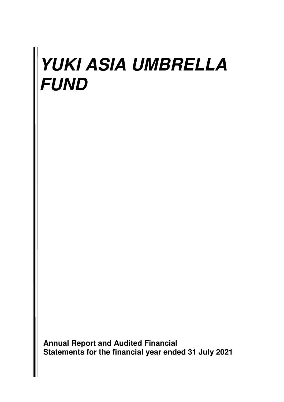**Annual Report and Audited Financial Statements for the financial year ended 31 July 2021**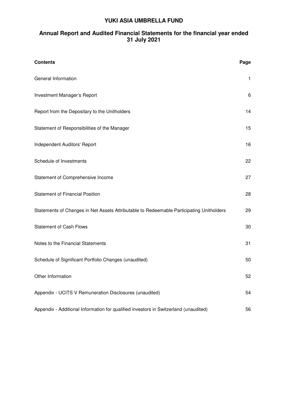# **Annual Report and Audited Financial Statements for the financial year ended 31 July 2021**

| <b>Contents</b>                                                                          | Page         |
|------------------------------------------------------------------------------------------|--------------|
| General Information                                                                      | $\mathbf{1}$ |
| Investment Manager's Report                                                              | 6            |
| Report from the Depositary to the Unitholders                                            | 14           |
| Statement of Responsibilities of the Manager                                             | 15           |
| Independent Auditors' Report                                                             | 16           |
| Schedule of Investments                                                                  | 22           |
| Statement of Comprehensive Income                                                        | 27           |
| <b>Statement of Financial Position</b>                                                   | 28           |
| Statements of Changes in Net Assets Attributable to Redeemable Participating Unitholders | 29           |
| <b>Statement of Cash Flows</b>                                                           | 30           |
| Notes to the Financial Statements                                                        | 31           |
| Schedule of Significant Portfolio Changes (unaudited)                                    | 50           |
| Other Information                                                                        | 52           |
| Appendix - UCITS V Remuneration Disclosures (unaudited)                                  | 54           |
| Appendix - Additional Information for qualified investors in Switzerland (unaudited)     | 56           |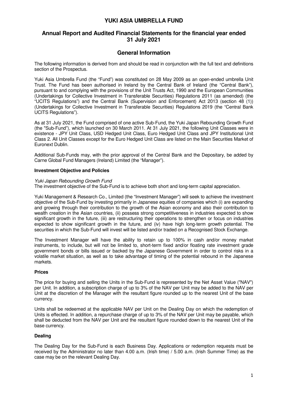## **Annual Report and Audited Financial Statements for the financial year ended 31 July 2021**

## **General Information**

The following information is derived from and should be read in conjunction with the full text and definitions section of the Prospectus.

Yuki Asia Umbrella Fund (the "Fund") was constituted on 28 May 2009 as an open-ended umbrella Unit Trust. The Fund has been authorised in Ireland by the Central Bank of Ireland (the "Central Bank"), pursuant to and complying with the provisions of the Unit Trusts Act, 1990 and the European Communities (Undertakings for Collective Investment in Transferable Securities) Regulations 2011 (as amended) (the "UCITS Regulations") and the Central Bank (Supervision and Enforcement) Act 2013 (section 48 (1)) (Undertakings for Collective Investment in Transferable Securities) Regulations 2019 (the "Central Bank UCITS Regulations").

As at 31 July 2021, the Fund comprised of one active Sub-Fund, the Yuki Japan Rebounding Growth Fund (the "Sub-Fund"), which launched on 30 March 2011. At 31 July 2021, the following Unit Classes were in existence - JPY Unit Class, USD Hedged Unit Class, Euro Hedged Unit Class and JPY Institutional Unit Class 2. All Unit Classes except for the Euro Hedged Unit Class are listed on the Main Securities Market of Euronext Dublin.

Additional Sub-Funds may, with the prior approval of the Central Bank and the Depositary, be added by Carne Global Fund Managers (Ireland) Limited (the "Manager").

#### **Investment Objective and Policies**

#### Yuki Japan Rebounding Growth Fund

The investment objective of the Sub-Fund is to achieve both short and long-term capital appreciation.

Yuki Management & Research Co., Limited (the "Investment Manager") will seek to achieve the investment objective of the Sub-Fund by investing primarily in Japanese equities of companies which (i) are expanding and growing through their contribution to the growth of the Asian economy and also their contribution to wealth creation in the Asian countries, (ii) possess strong competitiveness in industries expected to show significant growth in the future, (iii) are restructuring their operations to strengthen or focus on industries expected to show significant growth in the future, and (iv) have high long-term growth potential. The securities in which the Sub-Fund will invest will be listed and/or traded on a Recognised Stock Exchange.

The Investment Manager will have the ability to retain up to 100% in cash and/or money market instruments, to include, but will not be limited to, short-term fixed and/or floating rate investment grade government bonds or bills issued or backed by the Japanese Government in order to control risks in a volatile market situation, as well as to take advantage of timing of the potential rebound in the Japanese markets.

#### **Prices**

The price for buying and selling the Units in the Sub-Fund is represented by the Net Asset Value ("NAV") per Unit. In addition, a subscription charge of up to 3% of the NAV per Unit may be added to the NAV per Unit at the discretion of the Manager with the resultant figure rounded up to the nearest Unit of the base currency.

Units shall be redeemed at the applicable NAV per Unit on the Dealing Day on which the redemption of Units is effected. In addition, a repurchase charge of up to 3% of the NAV per Unit may be payable, which shall be deducted from the NAV per Unit and the resultant figure rounded down to the nearest Unit of the base currency.

#### **Dealing**

The Dealing Day for the Sub-Fund is each Business Day. Applications or redemption requests must be received by the Administrator no later than 4.00 a.m. (Irish time) / 5.00 a.m. (Irish Summer Time) as the case may be on the relevant Dealing Day.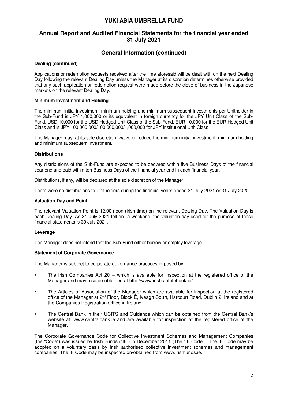# **Annual Report and Audited Financial Statements for the financial year ended 31 July 2021**

# **General Information (continued)**

#### **Dealing (continued)**

Applications or redemption requests received after the time aforesaid will be dealt with on the next Dealing Day following the relevant Dealing Day unless the Manager at its discretion determines otherwise provided that any such application or redemption request were made before the close of business in the Japanese markets on the relevant Dealing Day.

#### **Minimum Investment and Holding**

The minimum initial investment, minimum holding and minimum subsequent investments per Unitholder in the Sub-Fund is JPY 1,000,000 or its equivalent in foreign currency for the JPY Unit Class of the Sub-Fund, USD 10,000 for the USD Hedged Unit Class of the Sub-Fund, EUR 10,000 for the EUR Hedged Unit Class and is JPY 100,000,000/100,000,000/1,000,000 for JPY Institutional Unit Class.

The Manager may, at its sole discretion, waive or reduce the minimum initial investment, minimum holding and minimum subsequent investment.

#### **Distributions**

Any distributions of the Sub-Fund are expected to be declared within five Business Days of the financial year end and paid within ten Business Days of the financial year end in each financial year.

Distributions, if any, will be declared at the sole discretion of the Manager.

There were no distributions to Unitholders during the financial years ended 31 July 2021 or 31 July 2020.

#### **Valuation Day and Point**

The relevant Valuation Point is 12.00 noon (Irish time) on the relevant Dealing Day. The Valuation Day is each Dealing Day. As 31 July 2021 fell on a weekend, the valuation day used for the purpose of these financial statements is 30 July 2021.

#### **Leverage**

The Manager does not intend that the Sub-Fund either borrow or employ leverage.

#### **Statement of Corporate Governance**

The Manager is subject to corporate governance practices imposed by:

- The Irish Companies Act 2014 which is available for inspection at the registered office of the Manager and may also be obtained at http://www.irishstatutebook.ie/.
- The Articles of Association of the Manager which are available for inspection at the registered office of the Manager at 2<sup>nd</sup> Floor, Block E, Iveagh Court, Harcourt Road, Dublin 2, Ireland and at the Companies Registration Office in Ireland.
- The Central Bank in their UCITS and Guidance which can be obtained from the Central Bank's website at: www.centralbank.ie and are available for inspection at the registered office of the Manager.

The Corporate Governance Code for Collective Investment Schemes and Management Companies (the "Code") was issued by Irish Funds ("IF") in December 2011 (The "IF Code"). The IF Code may be adopted on a voluntary basis by Irish authorised collective investment schemes and management companies. The IF Code may be inspected on/obtained from www.irishfunds.ie.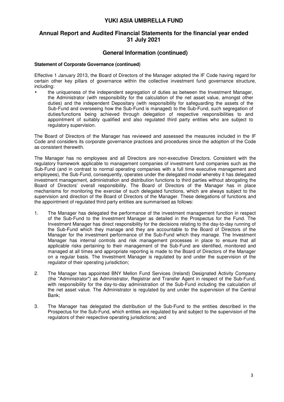# **Annual Report and Audited Financial Statements for the financial year ended 31 July 2021**

## **General Information (continued)**

#### **Statement of Corporate Governance (continued)**

Effective 1 January 2013, the Board of Directors of the Manager adopted the IF Code having regard for certain other key pillars of governance within the collective investment fund governance structure, including:

• the uniqueness of the independent segregation of duties as between the Investment Manager, the Administrator (with responsibility for the calculation of the net asset value, amongst other duties) and the independent Depositary (with responsibility for safeguarding the assets of the Sub-Fund and overseeing how the Sub-Fund is managed) to the Sub-Fund, such segregation of duties/functions being achieved through delegation of respective responsibilities to and appointment of suitably qualified and also regulated third party entities who are subject to regulatory supervision.

The Board of Directors of the Manager has reviewed and assessed the measures included in the IF Code and considers its corporate governance practices and procedures since the adoption of the Code as consistent therewith.

The Manager has no employees and all Directors are non-executive Directors. Consistent with the regulatory framework applicable to management companies of investment fund companies such as the Sub-Fund (and in contrast to normal operating companies with a full time executive management and employees), the Sub-Fund, consequently, operates under the delegated model whereby it has delegated investment management, administration and distribution functions to third parties without abrogating the Board of Directors' overall responsibility. The Board of Directors of the Manager has in place mechanisms for monitoring the exercise of such delegated functions, which are always subject to the supervision and direction of the Board of Directors of the Manager. These delegations of functions and the appointment of regulated third party entities are summarised as follows:

- 1. The Manager has delegated the performance of the investment management function in respect of the Sub-Fund to the Investment Manager as detailed in the Prospectus for the Fund. The Investment Manager has direct responsibility for the decisions relating to the day-to-day running of the Sub-Fund which they manage and they are accountable to the Board of Directors of the Manager for the investment performance of the Sub-Fund which they manage. The Investment Manager has internal controls and risk management processes in place to ensure that all applicable risks pertaining to their management of the Sub-Fund are identified, monitored and managed at all times and appropriate reporting is made to the Board of Directors of the Manager on a regular basis. The Investment Manager is regulated by and under the supervision of the regulator of their operating jurisdiction;
- 2. The Manager has appointed BNY Mellon Fund Services (Ireland) Designated Activity Company (the "Administrator") as Administrator, Registrar and Transfer Agent in respect of the Sub-Fund, with responsibility for the day-to-day administration of the Sub-Fund including the calculation of the net asset value. The Administrator is regulated by and under the supervision of the Central Bank;
- 3. The Manager has delegated the distribution of the Sub-Fund to the entities described in the Prospectus for the Sub-Fund, which entities are regulated by and subject to the supervision of the regulators of their respective operating jurisdictions; and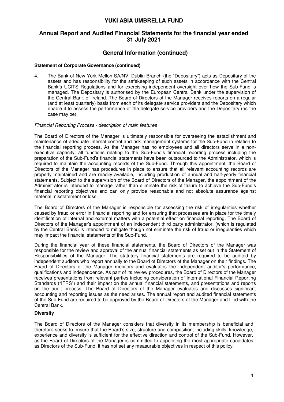## **Annual Report and Audited Financial Statements for the financial year ended 31 July 2021**

## **General Information (continued)**

#### **Statement of Corporate Governance (continued)**

4. The Bank of New York Mellon SA/NV, Dublin Branch (the "Depositary") acts as Depositary of the assets and has responsibility for the safekeeping of such assets in accordance with the Central Bank's UCITS Regulations and for exercising independent oversight over how the Sub-Fund is managed. The Depositary is authorised by the European Central Bank under the supervision of the Central Bank of Ireland. The Board of Directors of the Manager receives reports on a regular (and at least quarterly) basis from each of its delegate service providers and the Depositary which enable it to assess the performance of the delegate service providers and the Depositary (as the case may be).

#### Financial Reporting Process - description of main features

The Board of Directors of the Manager is ultimately responsible for overseeing the establishment and maintenance of adequate internal control and risk management systems for the Sub-Fund in relation to the financial reporting process. As the Manager has no employees and all directors serve in a nonexecutive capacity, all functions relating to the Sub-Fund's financial reporting process including the preparation of the Sub-Fund's financial statements have been outsourced to the Administrator, which is required to maintain the accounting records of the Sub-Fund. Through this appointment, the Board of Directors of the Manager has procedures in place to ensure that all relevant accounting records are properly maintained and are readily available, including production of annual and half-yearly financial statements. Subject to the supervision of the Board of Directors of the Manager, the appointment of the Administrator is intended to manage rather than eliminate the risk of failure to achieve the Sub-Fund's financial reporting objectives and can only provide reasonable and not absolute assurance against material misstatement or loss.

The Board of Directors of the Manager is responsible for assessing the risk of irregularities whether caused by fraud or error in financial reporting and for ensuring that processes are in place for the timely identification of internal and external matters with a potential effect on financial reporting. The Board of Directors of the Manager's appointment of an independent third party administrator, (which is regulated by the Central Bank) is intended to mitigate though not eliminate the risk of fraud or irregularities which may impact the financial statements of the Sub-Fund.

During the financial year of these financial statements, the Board of Directors of the Manager was responsible for the review and approval of the annual financial statements as set out in the Statement of Responsibilities of the Manager. The statutory financial statements are required to be audited by independent auditors who report annually to the Board of Directors of the Manager on their findings. The Board of Directors of the Manager monitors and evaluates the independent auditor's performance, qualifications and independence. As part of its review procedures, the Board of Directors of the Manager receives presentations from relevant parties including consideration of International Financial Reporting Standards ("IFRS") and their impact on the annual financial statements, and presentations and reports on the audit process. The Board of Directors of the Manager evaluates and discusses significant accounting and reporting issues as the need arises. The annual report and audited financial statements of the Sub-Fund are required to be approved by the Board of Directors of the Manager and filed with the Central Bank.

#### **Diversity**

The Board of Directors of the Manager considers that diversity in its membership is beneficial and therefore seeks to ensure that the Board's size, structure and composition, including skills, knowledge, experience and diversity is sufficient for the effective direction and control of the Sub-Fund. However, as the Board of Directors of the Manager is committed to appointing the most appropriate candidates as Directors of the Sub-Fund, it has not set any measurable objectives in respect of this policy.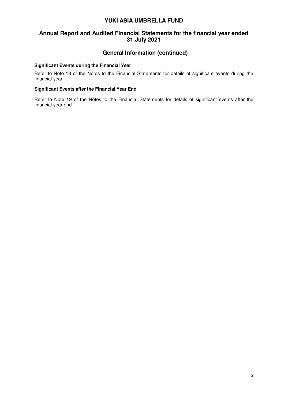# **Annual Report and Audited Financial Statements for the financial year ended 31 July 2021**

# **General Information (continued)**

#### **Significant Events during the Financial Year**

Refer to Note 18 of the Notes to the Financial Statements for details of significant events during the financial year.

## **Significant Events after the Financial Year End**

Refer to Note 19 of the Notes to the Financial Statements for details of significant events after the financial year end.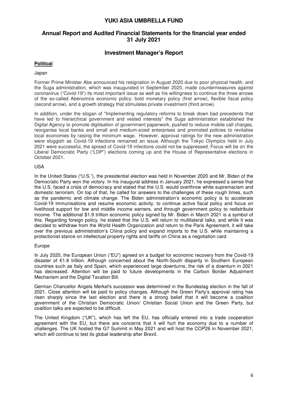# **Annual Report and Audited Financial Statements for the financial year ended 31 July 2021**

## **Investment Manager's Report**

## **Political**

#### Japan

Former Prime Minister Abe announced his resignation in August 2020 due to poor physical health, and the Suga administration, which was inaugurated in September 2020, made countermeasures against coronavirus ("Covid-19") its most important issue as well as his willingness to continue the three arrows of the so-called Abenomics economic policy: bold monetary policy (first arrow), flexible fiscal policy (second arrow), and a growth strategy that stimulates private investment (third arrow).

In addition, under the slogan of "Implementing regulatory reforms to break down bad precedents that have led to hierarchical government and vested interests" the Suga administration established the Digital Agency to promote digitisation of government paperwork, pushed to reduce mobile call charges, reorganise local banks and small and medium-sized enterprises and promoted policies to revitalise local economies by raising the minimum wage. However, approval ratings for the new administration were sluggish as Covid-19 infections remained an issue. Although the Tokyo Olympics held in July 2021 were successful, the spread of Covid-19 infections could not be suppressed. Focus will be on the Liberal Democratic Party ("LDP") elections coming up and the House of Representative elections in October 2021.

#### USA

In the United States ("U.S."), the presidential election was held in November 2020 and Mr. Biden of the Democratic Party won the victory. In his inaugural address in January 2021, he expressed a sense that the U.S. faced a crisis of democracy and stated that the U.S. would overthrow white supremacism and domestic terrorism. On top of that, he called for answers to the challenges of these rough times, such as the pandemic and climate change. The Biden administration's economic policy is to accelerate Covid-19 immunisations and resume economic activity, to continue active fiscal policy and focus on livelihood support for low and middle income earners, and through government policy to redistribute income. The additional \$1.9 trillion economic policy signed by Mr. Biden in March 2021 is a symbol of this. Regarding foreign policy, he stated that the U.S. will return to multilateral talks, and while it was decided to withdraw from the World Health Organization and return to the Paris Agreement, it will take over the previous administration's China policy and expand imports to the U.S. while maintaining a protectionist stance on intellectual property rights and tariffs on China as a negotiation card.

#### Europe

In July 2020, the European Union ("EU") agreed on a budget for economic recovery from the Covid-19 disaster of €1.8 trillion. Although concerned about the North-South disparity in Southern European countries such as Italy and Spain, which experienced large downturns, the risk of a downturn in 2021 has decreased. Attention will be paid to future developments in the Carbon Border Adjustment Mechanism and the Digital Taxation Bill.

German Chancellor Angela Merkel's successor was determined in the Bundestag election in the fall of 2021. Close attention will be paid to policy changes. Although the Green Party's approval rating has risen sharply since the last election and there is a strong belief that it will become a coalition government of the Christian Democratic Union/ Christian Social Union and the Green Party, but coalition talks are expected to be difficult.

The United Kingdom ("UK"), which has left the EU, has officially entered into a trade cooperation agreement with the EU, but there are concerns that it will hurt the economy due to a number of challenges. The UK hosted the G7 Summit in May 2021 and will host the COP26 in November 2021, which will continue to test its global leadership after Brexit.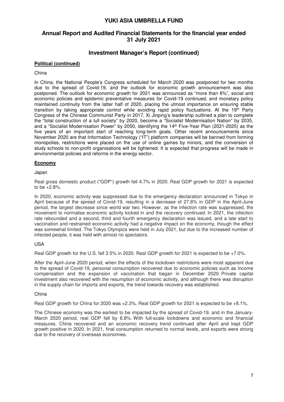# **Annual Report and Audited Financial Statements for the financial year ended 31 July 2021**

## **Investment Manager's Report (continued)**

## **Political (continued)**

#### China

In China, the National People's Congress scheduled for March 2020 was postponed for two months due to the spread of Covid-19, and the outlook for economic growth announcement was also postponed. The outlook for economic growth for 2021 was announced as "more than 6%", social and economic policies and epidemic preventative measures for Covid-19 continued, and monetary policy maintained continuity from the latter half of 2020, placing the utmost importance on ensuring stable transition by taking appropriate control while avoiding rapid policy fluctuations. At the 19<sup>th</sup> Party Congress of the Chinese Communist Party in 2017, Xi Jinping's leadership outlined a plan to complete the "total construction of a lull society" by 2020, become a "Socialist Modernisation Nation" by 2035, and a "Socialist Modernisation Power" by 2050, identifying the 14th Five-Year Plan (2021-2025) as the five years of an important start of reaching long-term goals. Other recent announcements since November 2020 are that Information Technology ("IT") platform companies will be banned from forming monopolies, restrictions were placed on the use of online games by minors, and the conversion of study schools to non-profit organisations will be tightened. It is expected that progress will be made in environmental policies and reforms in the energy sector.

#### **Economy**

#### Japan

Real gross domestic product ("GDP") growth fell 4.7% in 2020. Real GDP growth for 2021 is expected to be +2.8%.

In 2020, economic activity was suppressed due to the emergency declaration announced in Tokyo in April because of the spread of Covid-19, resulting in a decrease of 27.8% in GDP in the April-June period, the largest decrease since world war two. However, as the infection rate was suppressed, the movement to normalise economic activity kicked in and the recovery continued. In 2021, the infection rate rebounded and a second, third and fourth emergency declaration was issued, and a late start to vaccination and restrained economic activity had a negative impact on the economy, though the effect was somewhat limited. The Tokyo Olympics were held in July 2021, but due to the increased number of infected people, it was held with almost no spectators.

#### USA

Real GDP growth for the U.S. fell 3.5% in 2020. Real GDP growth for 2021 is expected to be +7.0%.

After the April-June 2020 period, when the effects of the lockdown restrictions were most apparent due to the spread of Covid-19, personal consumption recovered due to economic policies such as income compensation and the expansion of vaccination that began in December 2020. Private capital investment also recovered with the resumption of economic activity, and although there was disruption in the supply chain for imports and exports, the trend towards recovery was established.

#### China

Real GDP growth for China for 2020 was +2.3%. Real GDP growth for 2021 is expected to be +8.1%.

The Chinese economy was the earliest to be impacted by the spread of Covid-19, and in the January-March 2020 period, real GDP fell by 6.8%. With full-scale lockdowns and economic and financial measures, China recovered and an economic recovery trend continued after April and kept GDP growth positive in 2020. In 2021, final consumption returned to normal levels, and exports were strong due to the recovery of overseas economies.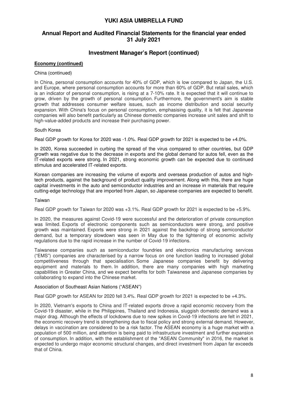# **Annual Report and Audited Financial Statements for the financial year ended 31 July 2021**

# **Investment Manager's Report (continued)**

## **Economy (continued)**

#### China (continued)

In China, personal consumption accounts for 40% of GDP, which is low compared to Japan, the U.S. and Europe, where personal consumption accounts for more than 60% of GDP. But retail sales, which is an indicator of personal consumption, is rising at a 7-10% rate. It is expected that it will continue to grow, driven by the growth of personal consumption. Furthermore, the government's aim is stable growth that addresses consumer welfare issues, such as income distribution and social security expansion. With China's focus on personal consumption, emphasising quality, it is felt that Japanese companies will also benefit particularly as Chinese domestic companies increase unit sales and shift to high-value-added products and increase their purchasing power.

#### South Korea

Real GDP growth for Korea for 2020 was -1.0%. Real GDP growth for 2021 is expected to be +4.0%.

In 2020, Korea succeeded in curbing the spread of the virus compared to other countries, but GDP growth was negative due to the decrease in exports and the global demand for autos fell, even as the IT-related exports were strong. In 2021, strong economic growth can be expected due to continued stimulus and accelerated IT-related exports.

Korean companies are increasing the volume of exports and overseas production of autos and hightech products, against the background of product quality improvement. Along with this, there are huge capital investments in the auto and semiconductor industries and an increase in materials that require cutting-edge technology that are imported from Japan, so Japanese companies are expected to benefit.

#### Taiwan

Real GDP growth for Taiwan for 2020 was +3.1%. Real GDP growth for 2021 is expected to be +5.9%.

In 2020, the measures against Covid-19 were successful and the deterioration of private consumption was limited. Exports of electronic components such as semiconductors were strong, and positive growth was maintained. Exports were strong in 2021 against the backdrop of strong semiconductor demand, but a temporary slowdown was seen in May due to the tightening of economic activity regulations due to the rapid increase in the number of Covid-19 infections.

Taiwanese companies such as semiconductor foundries and electronics manufacturing services ("EMS") companies are characterised by a narrow focus on one function leading to increased global competitiveness through that specialisation. Some Japanese companies benefit by delivering equipment and materials to them. In addition, there are many companies with high marketing capabilities in Greater China, and we expect benefits for both Taiwanese and Japanese companies by collaborating to expand into the Chinese market.

#### Association of Southeast Asian Nations ("ASEAN")

Real GDP growth for ASEAN for 2020 fell 3.4%. Real GDP growth for 2021 is expected to be +4.3%.

In 2020, Vietnam's exports to China and IT-related exports drove a rapid economic recovery from the Covid-19 disaster, while in the Philippines, Thailand and Indonesia, sluggish domestic demand was a major drag. Although the effects of lockdowns due to new spikes in Covid-19 infections are felt in 2021, the economic recovery trend is strengthening due to fiscal policy and strong external demand. However, delays in vaccination are considered to be a risk factor. The ASEAN economy is a huge market with a population of 500 million, and attention is being paid to infrastructure investment and further expansion of consumption. In addition, with the establishment of the "ASEAN Community" in 2016, the market is expected to undergo major economic structural changes, and direct investment from Japan far exceeds that of China.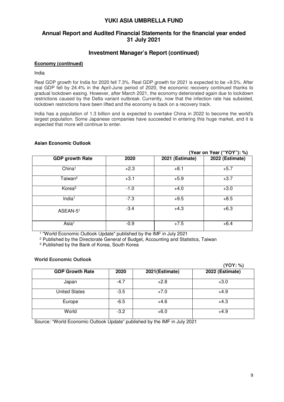# **Annual Report and Audited Financial Statements for the financial year ended 31 July 2021**

# **Investment Manager's Report (continued)**

## **Economy (continued)**

#### India

Real GDP growth for India for 2020 fell 7.3%. Real GDP growth for 2021 is expected to be +9.5%. After real GDP fell by 24.4% in the April-June period of 2020, the economic recovery continued thanks to gradual lockdown easing. However, after March 2021, the economy deteriorated again due to lockdown restrictions caused by the Delta variant outbreak. Currently, now that the infection rate has subsided, lockdown restrictions have been lifted and the economy is back on a recovery track.

India has a population of 1.3 billion and is expected to overtake China in 2022 to become the world's largest population. Some Japanese companies have succeeded in entering this huge market, and it is expected that more will continue to enter.

|                        |        |                 | (Year on Year ("YOY"): %) |
|------------------------|--------|-----------------|---------------------------|
| <b>GDP growth Rate</b> | 2020   | 2021 (Estimate) | 2022 (Estimate)           |
| China <sup>1</sup>     | $+2.3$ | $+8.1$          | $+5.7$                    |
| Taiwan <sup>2</sup>    | $+3.1$ | $+5.9$          | $+3.7$                    |
| Korea <sup>3</sup>     | $-1.0$ | $+4.0$          | $+3.0$                    |
| India $1$              | $-7.3$ | $+9.5$          | $+8.5$                    |
| ASEAN-51               | $-3.4$ | $+4.3$          | $+6.3$                    |
| Asia <sup>1</sup>      | $-0.9$ | $+7.5$          | $+6.4$                    |

#### **Asian Economic Outlook**

1 "World Economic Outlook Update" published by the IMF in July 2021

2 Published by the Directorate General of Budget, Accounting and Statistics, Taiwan

3 Published by the Bank of Korea, South Korea

## **World Economic Outlook**

| ************************** |        |                |                 |
|----------------------------|--------|----------------|-----------------|
|                            |        |                | (YOY: %)        |
| <b>GDP Growth Rate</b>     | 2020   | 2021(Estimate) | 2022 (Estimate) |
| Japan                      | $-4.7$ | $+2.8$         | $+3.0$          |
| <b>United States</b>       | $-3.5$ | $+7.0$         | $+4.9$          |
| Europe                     | $-6.5$ | $+4.6$         | $+4.3$          |
| World                      | $-3.2$ | $+6.0$         | $+4.9$          |

Source: "World Economic Outlook Update" published by the IMF in July 2021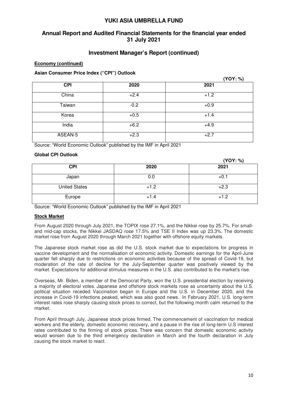# **Annual Report and Audited Financial Statements for the financial year ended 31 July 2021**

# **Investment Manager's Report (continued)**

## **Economy (continued)**

## **Asian Consumer Price Index ("CPI") Outlook**

|            |        | (YOY: %) |
|------------|--------|----------|
| <b>CPI</b> | 2020   | 2021     |
| China      | $+2.4$ | $+1.2$   |
| Taiwan     | $-0.2$ | $+0.9$   |
| Korea      | $+0.5$ | $+1.4$   |
| India      | $+6.2$ | $+4.9$   |
| ASEAN-5    | $+2.3$ | $+2.7$   |

Source: "World Economic Outlook" published by the IMF in April 2021

#### **Global CPI Outlook**

|                      |        | (YOY: %) |
|----------------------|--------|----------|
| <b>CPI</b>           | 2020   | 2021     |
| Japan                | 0.0    | $+0.1$   |
| <b>United States</b> | $+1.2$ | $+2.3$   |
| Europe               | $+1.4$ | $+1.2$   |

Source: "World Economic Outlook" published by the IMF in April 2021

#### **Stock Market**

From August 2020 through July 2021, the TOPIX rose 27.1%, and the Nikkei rose by 25.7%. For smalland mid-cap stocks, the Nikkei JASDAQ rose 17.5% and TSE II Index was up 23.3%. The domestic market rose from August 2020 through March 2021 together with offshore equity markets.

The Japanese stock market rose as did the U.S. stock market due to expectations for progress in vaccine development and the normalisation of economic activity. Domestic earnings for the April-June quarter fell sharply due to restrictions on economic activities because of the spread of Covid-19, but moderation of the rate of decline for the July-September quarter was positively viewed by the market. Expectations for additional stimulus measures in the U.S. also contributed to the market's rise.

Overseas, Mr. Biden, a member of the Democrat Party, won the U.S. presidential election by receiving a majority of electoral votes. Japanese and offshore stock markets rose as uncertainty about the U.S. political situation receded. Vaccination began in Europe and the U.S. in December 2020, and the increase in Covid-19 infections peaked, which was also good news. In February 2021, U.S. long-term interest rates rose sharply causing stock prices to correct, but the following month calm returned to the market.

From April through July, Japanese stock prices firmed. The commencement of vaccination for medical workers and the elderly, domestic economic recovery, and a pause in the rise of long-term U.S interest rates contributed to the firming of stock prices. There was concern that domestic economic activity would worsen due to the third emergency declaration in March and the fourth declaration in July causing the stock market to react.

**(YOY: %)**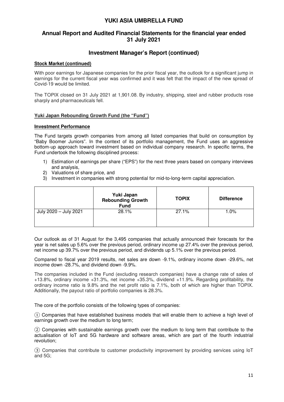# **Annual Report and Audited Financial Statements for the financial year ended 31 July 2021**

# **Investment Manager's Report (continued)**

## **Stock Market (continued)**

With poor earnings for Japanese companies for the prior fiscal year, the outlook for a significant jump in earnings for the current fiscal year was confirmed and it was felt that the impact of the new spread of Covid-19 would be limited.

The TOPIX closed on 31 July 2021 at 1,901.08. By industry, shipping, steel and rubber products rose sharply and pharmaceuticals fell.

#### **Yuki Japan Rebounding Growth Fund (the "Fund")**

#### **Investment Performance**

The Fund targets growth companies from among all listed companies that build on consumption by "Baby Boomer Juniors". In the context of its portfolio management, the Fund uses an aggressive bottom-up approach toward investment based on individual company research. In specific terms, the Fund undertook the following disciplined process:

- 1) Estimation of earnings per share ("EPS") for the next three years based on company interviews and analysis,
- 2) Valuations of share price, and
- 3) Investment in companies with strong potential for mid-to-long-term capital appreciation.

|                       | Yuki Japan<br><b>Rebounding Growth</b><br><b>Fund</b> | <b>TOPIX</b> | <b>Difference</b> |
|-----------------------|-------------------------------------------------------|--------------|-------------------|
| July 2020 - July 2021 | 28.1%                                                 | 27.1%        | 1.0%              |

Our outlook as of 31 August for the 3,495 companies that actually announced their forecasts for the year is net sales up 5.6% over the previous period, ordinary income up 27.4% over the previous period, net income up 39.7% over the previous period, and dividends up 5.1% over the previous period.

Compared to fiscal year 2019 results, net sales are down -9.1%, ordinary income down -29.6%, net income down -28.7%, and dividend down -9.9%.

The companies included in the Fund (excluding research companies) have a change rate of sales of +13.8%, ordinary income +31.3%, net income +35.3%, dividend +11.9%. Regarding profitability, the ordinary income ratio is 9.8% and the net profit ratio is 7.1%, both of which are higher than TOPIX. Additionally, the payout ratio of portfolio companies is 28.3%.

The core of the portfolio consists of the following types of companies:

 $\Omega$  Companies that have established business models that will enable them to achieve a high level of earnings growth over the medium to long term;

② Companies with sustainable earnings growth over the medium to long term that contribute to the actualisation of IoT and 5G hardware and software areas, which are part of the fourth industrial revolution;

③ Companies that contribute to customer productivity improvement by providing services using IoT and 5G;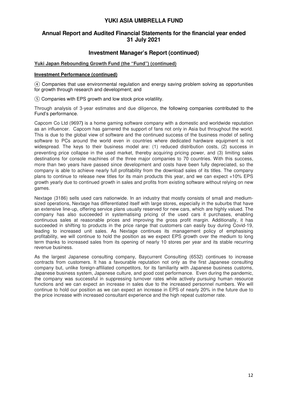# **Annual Report and Audited Financial Statements for the financial year ended 31 July 2021**

## **Investment Manager's Report (continued)**

#### **Yuki Japan Rebounding Growth Fund (the "Fund") (continued)**

#### **Investment Performance (continued)**

 $\overline{4}$ ) Companies that use environmental regulation and energy saving problem solving as opportunities for growth through research and development; and

⑤ Companies with EPS growth and low stock price volatility.

Through analysis of 3-year estimates and due diligence, the following companies contributed to the Fund's performance.

Capcom Co Ltd (9697**)** is a home gaming software company with a domestic and worldwide reputation as an influencer. Capcom has garnered the support of fans not only in Asia but throughout the world. This is due to the global view of software and the continued success of the business model of selling software to PCs around the world even in countries where dedicated hardware equipment is not widespread. The keys to their business model are: (1) reduced distribution costs, (2) success in preventing price collapse in the used market, thereby acquiring pricing power, and (3) limiting sales destinations for console machines of the three major companies to 70 countries. With this success, more than two years have passed since development and costs have been fully depreciated, so the company is able to achieve nearly full profitability from the download sales of its titles. The company plans to continue to release new titles for its main products this year, and we can expect +10% EPS growth yearly due to continued growth in sales and profits from existing software without relying on new games.

Nextage (3186) sells used cars nationwide. In an industry that mostly consists of small and mediumsized operations, Nextage has differentiated itself with large stores, especially in the suburbs that have an extensive line-up, offering service plans usually reserved for new cars, which are highly valued. The company has also succeeded in systematising pricing of the used cars it purchases, enabling continuous sales at reasonable prices and improving the gross profit margin. Additionally, it has succeeded in shifting to products in the price range that customers can easily buy during Covid-19, leading to increased unit sales. As Nextage continues its management policy of emphasising profitability, we will continue to hold the position as we expect EPS growth over the medium to long term thanks to increased sales from its opening of nearly 10 stores per year and its stable recurring revenue business.

As the largest Japanese consulting company, Baycurrent Consulting (6532) continues to increase contracts from customers. It has a favourable reputation not only as the first Japanese consulting company but, unlike foreign-affiliated competitors, for its familiarity with Japanese business customs, Japanese business system, Japanese culture, and good cost performance. Even during the pandemic, the company was successful in suppressing turnover rates while actively pursuing human resource functions and we can expect an increase in sales due to the increased personnel numbers. We will continue to hold our position as we can expect an increase in EPS of nearly 20% in the future due to the price increase with increased consultant experience and the high repeat customer rate.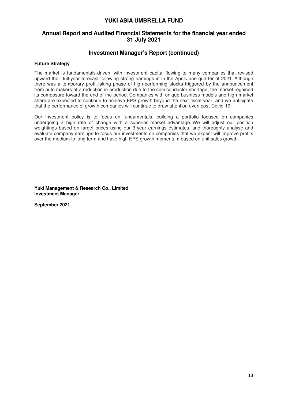## **Annual Report and Audited Financial Statements for the financial year ended 31 July 2021**

## **Investment Manager's Report (continued)**

## **Future Strategy**

The market is fundamentals-driven, with investment capital flowing to many companies that revised upward their full-year forecast following strong earnings in in the April-June quarter of 2021. Although there was a temporary profit-taking phase of high-performing stocks triggered by the announcement from auto makers of a reduction in production due to the semiconductor shortage, the market regained its composure toward the end of the period. Companies with unique business models and high market share are expected to continue to achieve EPS growth beyond the next fiscal year, and we anticipate that the performance of growth companies will continue to draw attention even post-Covid-19.

Our investment policy is to focus on fundamentals, building a portfolio focused on companies undergoing a high rate of change with a superior market advantage. We will adjust our position weightings based on target prices using our 3-year earnings estimates, and thoroughly analyse and evaluate company earnings to focus our investments on companies that we expect will improve profits over the medium to long term and have high EPS growth momentum based on unit sales growth.

**Yuki Management & Research Co., Limited Investment Manager** 

**September 2021**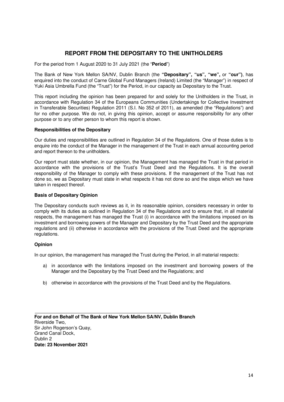# **REPORT FROM THE DEPOSITARY TO THE UNITHOLDERS**

For the period from 1 August 2020 to 31 July 2021 (the "**Period**")

The Bank of New York Mellon SA/NV, Dublin Branch (the **"Depositary", "us", "we",** or **"our")**, has enquired into the conduct of Carne Global Fund Managers (Ireland) Limited (the "Manager") in respect of Yuki Asia Umbrella Fund (the "Trust") for the Period, in our capacity as Depositary to the Trust.

This report including the opinion has been prepared for and solely for the Unitholders in the Trust, in accordance with Regulation 34 of the Europeans Communities (Undertakings for Collective Investment in Transferable Securities) Regulation 2011 (S.I. No 352 of 2011), as amended (the "Regulations") and for no other purpose. We do not, in giving this opinion, accept or assume responsibility for any other purpose or to any other person to whom this report is shown.

#### **Responsibilities of the Depositary**

Our duties and responsibilities are outlined in Regulation 34 of the Regulations. One of those duties is to enquire into the conduct of the Manager in the management of the Trust in each annual accounting period and report thereon to the unitholders.

Our report must state whether, in our opinion, the Management has managed the Trust in that period in accordance with the provisions of the Trust's Trust Deed and the Regulations. It is the overall responsibility of the Manager to comply with these provisions. If the management of the Trust has not done so, we as Depositary must state in what respects it has not done so and the steps which we have taken in respect thereof.

#### **Basis of Depositary Opinion**

The Depositary conducts such reviews as it, in its reasonable opinion, considers necessary in order to comply with its duties as outlined in Regulation 34 of the Regulations and to ensure that, in all material respects, the management has managed the Trust (i) in accordance with the limitations imposed on its investment and borrowing powers of the Manager and Depositary by the Trust Deed and the appropriate regulations and (ii) otherwise in accordance with the provisions of the Trust Deed and the appropriate regulations.

#### **Opinion**

In our opinion, the management has managed the Trust during the Period, in all material respects:

- a) in accordance with the limitations imposed on the investment and borrowing powers of the Manager and the Depositary by the Trust Deed and the Regulations; and
- b) otherwise in accordance with the provisions of the Trust Deed and by the Regulations.

**For and on Behalf of The Bank of New York Mellon SA/NV, Dublin Branch**  Riverside Two, Sir John Rogerson's Quay, Grand Canal Dock, Dublin 2 **Date: 23 November 2021**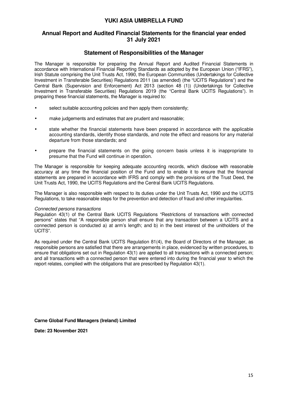## **Annual Report and Audited Financial Statements for the financial year ended 31 July 2021**

## **Statement of Responsibilities of the Manager**

The Manager is responsible for preparing the Annual Report and Audited Financial Statements in accordance with International Financial Reporting Standards as adopted by the European Union ("IFRS"), Irish Statute comprising the Unit Trusts Act, 1990, the European Communities (Undertakings for Collective Investment in Transferable Securities) Regulations 2011 (as amended) (the "UCITS Regulations") and the Central Bank (Supervision and Enforcement) Act 2013 (section 48 (1)) (Undertakings for Collective Investment in Transferable Securities) Regulations 2019 (the "Central Bank UCITS Regulations"). In preparing these financial statements, the Manager is required to:

- select suitable accounting policies and then apply them consistently:
- make judgements and estimates that are prudent and reasonable;
- state whether the financial statements have been prepared in accordance with the applicable accounting standards, identify those standards, and note the effect and reasons for any material departure from those standards; and
- prepare the financial statements on the going concern basis unless it is inappropriate to presume that the Fund will continue in operation.

The Manager is responsible for keeping adequate accounting records, which disclose with reasonable accuracy at any time the financial position of the Fund and to enable it to ensure that the financial statements are prepared in accordance with IFRS and comply with the provisions of the Trust Deed, the Unit Trusts Act, 1990, the UCITS Regulations and the Central Bank UCITS Regulations.

The Manager is also responsible with respect to its duties under the Unit Trusts Act, 1990 and the UCITS Regulations, to take reasonable steps for the prevention and detection of fraud and other irregularities.

#### Connected persons transactions

Regulation 43(1) of the Central Bank UCITS Regulations "Restrictions of transactions with connected persons" states that "A responsible person shall ensure that any transaction between a UCITS and a connected person is conducted a) at arm's length; and b) in the best interest of the unitholders of the UCITS".

As required under the Central Bank UCITS Regulation 81(4), the Board of Directors of the Manager, as responsible persons are satisfied that there are arrangements in place, evidenced by written procedures, to ensure that obligations set out in Regulation 43(1) are applied to all transactions with a connected person; and all transactions with a connected person that were entered into during the financial year to which the report relates, complied with the obligations that are prescribed by Regulation 43(1).

**Carne Global Fund Managers (Ireland) Limited** 

**Date: 23 November 2021**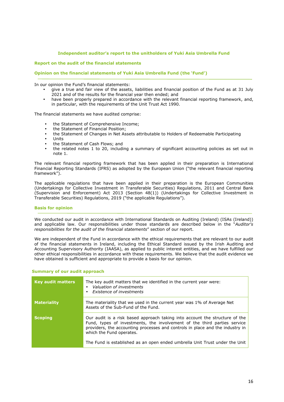#### **Independent auditor's report to the unitholders of Yuki Asia Umbrella Fund**

#### **Report on the audit of the financial statements**

#### **Opinion on the financial statements of Yuki Asia Umbrella Fund (the 'Fund')**

In our opinion the Fund's financial statements:

- give a true and fair view of the assets, liabilities and financial position of the Fund as at 31 July 2021 and of the results for the financial year then ended; and
- have been properly prepared in accordance with the relevant financial reporting framework, and, in particular, with the requirements of the Unit Trust Act 1990.

The financial statements we have audited comprise:

- the Statement of Comprehensive Income;
- the Statement of Financial Position;
- the Statement of Changes in Net Assets attributable to Holders of Redeemable Participating
- Units
- the Statement of Cash Flows; and
- the related notes 1 to 20, including a summary of significant accounting policies as set out in note 1.

The relevant financial reporting framework that has been applied in their preparation is International Financial Reporting Standards (IFRS) as adopted by the European Union ("the relevant financial reporting framework").

The applicable regulations that have been applied in their preparation is the European Communities (Undertakings for Collective Investment in Transferable Securities) Regulations, 2011 and Central Bank (Supervision and Enforcement) Act 2013 (Section 48(1)) (Undertakings for Collective Investment in Transferable Securities) Regulations, 2019 ("the applicable Regulations").

#### **Basis for opinion**

We conducted our audit in accordance with International Standards on Auditing (Ireland) (ISAs (Ireland)) and applicable law. Our responsibilities under those standards are described below in the "*Auditor's responsibilities for the audit of the financial statements*" section of our report.

We are independent of the Fund in accordance with the ethical requirements that are relevant to our audit of the financial statements in Ireland, including the Ethical Standard issued by the Irish Auditing and Accounting Supervisory Authority (IAASA), as applied to public interest entities, and we have fulfilled our other ethical responsibilities in accordance with these requirements. We believe that the audit evidence we have obtained is sufficient and appropriate to provide a basis for our opinion.

#### **Summary of our audit approach**

| <b>Key audit matters</b> | The key audit matters that we identified in the current year were:<br>Valuation of investments<br>Existence of investments                                                                                                                                                                                                                          |
|--------------------------|-----------------------------------------------------------------------------------------------------------------------------------------------------------------------------------------------------------------------------------------------------------------------------------------------------------------------------------------------------|
| <b>Materiality</b>       | The materiality that we used in the current year was 1% of Average Net<br>Assets of the Sub-Fund of the Fund.                                                                                                                                                                                                                                       |
| <b>Scoping</b>           | Our audit is a risk based approach taking into account the structure of the<br>Fund, types of investments, the involvement of the third parties service<br>providers, the accounting processes and controls in place and the industry in<br>which the Fund operates.<br>The Fund is established as an open ended umbrella Unit Trust under the Unit |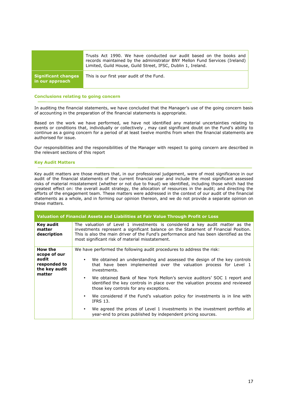|                                               | Trusts Act 1990. We have conducted our audit based on the books and<br>records maintained by the administrator BNY Mellon Fund Services (Ireland)<br>Limited, Guild House, Guild Street, IFSC, Dublin 1, Ireland. |
|-----------------------------------------------|-------------------------------------------------------------------------------------------------------------------------------------------------------------------------------------------------------------------|
| <b>Significant changes</b><br>in our approach | This is our first year audit of the Fund.                                                                                                                                                                         |

#### **Conclusions relating to going concern**

In auditing the financial statements, we have concluded that the Manager's use of the going concern basis of accounting in the preparation of the financial statements is appropriate.

Based on the work we have performed, we have not identified any material uncertainties relating to events or conditions that, individually or collectively , may cast significant doubt on the Fund's ability to continue as a going concern for a period of at least twelve months from when the financial statements are authorised for issue.

Our responsibilities and the responsibilities of the Manager with respect to going concern are described in the relevant sections of this report

#### **Key Audit Matters**

Key audit matters are those matters that, in our professional judgement, were of most significance in our audit of the financial statements of the current financial year and include the most significant assessed risks of material misstatement (whether or not due to fraud) we identified, including those which had the greatest effect on: the overall audit strategy, the allocation of resources in the audit; and directing the efforts of the engagement team. These matters were addressed in the context of our audit of the financial statements as a whole, and in forming our opinion thereon, and we do not provide a separate opinion on these matters.

|                                                                             | Valuation of Financial Assets and Liabilities at Fair Value Through Profit or Loss                                                                                                                                                                                                                                                                                                                                                                                                                                                                                                                                                                                                                                      |
|-----------------------------------------------------------------------------|-------------------------------------------------------------------------------------------------------------------------------------------------------------------------------------------------------------------------------------------------------------------------------------------------------------------------------------------------------------------------------------------------------------------------------------------------------------------------------------------------------------------------------------------------------------------------------------------------------------------------------------------------------------------------------------------------------------------------|
| <b>Key audit</b><br>matter<br>description                                   | The valuation of Level 1 investments is considered a key audit matter as the<br>investments represent a significant balance on the Statement of Financial Position.<br>This is also the main driver of the Fund's performance and has been identified as the<br>most significant risk of material misstatement.                                                                                                                                                                                                                                                                                                                                                                                                         |
| How the<br>scope of our<br>audit<br>responded to<br>the key audit<br>matter | We have performed the following audit procedures to address the risk:<br>We obtained an understanding and assessed the design of the key controls<br>that have been implemented over the valuation process for Level 1<br>investments.<br>We obtained Bank of New York Mellon's service auditors' SOC 1 report and<br>$\bullet$<br>identified the key controls in place over the valuation process and reviewed<br>those key controls for any exceptions.<br>We considered if the Fund's valuation policy for investments is in line with<br>$\bullet$<br><b>IFRS 13.</b><br>We agreed the prices of Level 1 investments in the investment portfolio at<br>year-end to prices published by independent pricing sources. |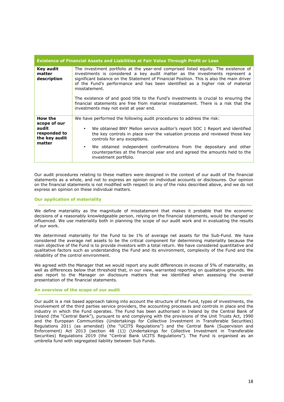|                                                                             | Existence of Financial Assets and Liabilities at Fair Value Through Profit or Loss                                                                                                                                                                                                                                                                                                                                                                                                                                                                                                       |
|-----------------------------------------------------------------------------|------------------------------------------------------------------------------------------------------------------------------------------------------------------------------------------------------------------------------------------------------------------------------------------------------------------------------------------------------------------------------------------------------------------------------------------------------------------------------------------------------------------------------------------------------------------------------------------|
| Key audit<br>matter<br>description                                          | The investment portfolio at the year-end comprised listed equity. The existence of<br>investments is considered a key audit matter as the investments represent a<br>significant balance on the Statement of Financial Position. This is also the main driver<br>of the Fund's performance and has been identified as a higher risk of material<br>misstatement.<br>The existence of and good title to the Fund's investments is crucial to ensuring the<br>financial statements are free from material misstatement. There is a risk that the<br>investments may not exist at year end. |
| How the<br>scope of our<br>audit<br>responded to<br>the key audit<br>matter | We have performed the following audit procedures to address the risk:<br>We obtained BNY Mellon service auditor's report SOC 1 Report and identified<br>the key controls in place over the valuation process and reviewed those key<br>controls for any exceptions.<br>We obtained independent confirmations from the depositary and other<br>counterparties at the financial year end and agreed the amounts held to the<br>investment portfolio.                                                                                                                                       |

Our audit procedures relating to these matters were designed in the context of our audit of the financial statements as a whole, and not to express an opinion on individual accounts or disclosures. Our opinion on the financial statements is not modified with respect to any of the risks described above, and we do not express an opinion on these individual matters.

#### **Our application of materiality**

We define materiality as the magnitude of misstatement that makes it probable that the economic decisions of a reasonably knowledgeable person, relying on the financial statements, would be changed or influenced. We use materiality both in planning the scope of our audit work and in evaluating the results of our work.

We determined materiality for the Fund to be 1% of average net assets for the Sub-Fund. We have considered the average net assets to be the critical component for determining materiality because the main objective of the Fund is to provide investors with a total return. We have considered quantitative and qualitative factors such as understanding the Fund and its environment, complexity of the Fund and the reliability of the control environment.

We agreed with the Manager that we would report any audit differences in excess of 5% of materiality, as well as differences below that threshold that, in our view, warranted reporting on qualitative grounds. We also report to the Manager on disclosure matters that we identified when assessing the overall presentation of the financial statements.

#### **An overview of the scope of our audit**

Our audit is a risk based approach taking into account the structure of the Fund, types of investments, the involvement of the third parties service providers, the accounting processes and controls in place and the industry in which the Fund operates. The Fund has been authorised in Ireland by the Central Bank of Ireland (the "Central Bank"), pursuant to and complying with the provisions of the Unit Trusts Act, 1990 and the European Communities (Undertakings for Collective Investment in Transferable Securities) Regulations 2011 (as amended) (the "UCITS Regulations") and the Central Bank (Supervision and Enforcement) Act 2013 (section 48 (1)) (Undertakings for Collective Investment in Transferable Securities) Regulations 2019 (the "Central Bank UCITS Regulations"). The Fund is organised as an umbrella fund with segregated liability between Sub Funds.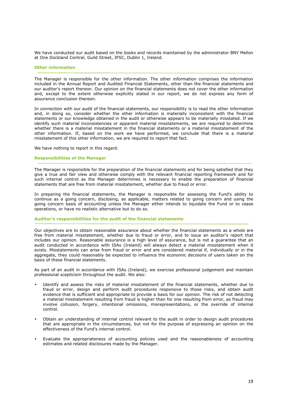We have conducted our audit based on the books and records maintained by the administrator BNY Mellon at One Dockland Central, Guild Street, IFSC, Dublin 1, Ireland.

#### **Other information**

The Manager is responsible for the other information. The other information comprises the information included in the Annual Report and Audited Financial Statements, other than the financial statements and our auditor's report thereon. Our opinion on the financial statements does not cover the other information and, except to the extent otherwise explicitly stated in our report, we do not express any form of assurance conclusion thereon.

In connection with our audit of the financial statements, our responsibility is to read the other information and, in doing so, consider whether the other information is materially inconsistent with the financial statements or our knowledge obtained in the audit or otherwise appears to be materially misstated. If we identify such material inconsistencies or apparent material misstatements, we are required to determine whether there is a material misstatement in the financial statements or a material misstatement of the other information. If, based on the work we have performed, we conclude that there is a material misstatement of this other information, we are required to report that fact.

We have nothing to report in this regard.

#### **Responsibilities of the Manager**

The Manager is responsible for the preparation of the financial statements and for being satisfied that they give a true and fair view and otherwise comply with the relevant financial reporting framework and for such internal control as the Manager determines is necessary to enable the preparation of financial statements that are free from material misstatement, whether due to fraud or error.

In preparing the financial statements, the Manager is responsible for assessing the Fund's ability to continue as a going concern, disclosing, as applicable, matters related to going concern and using the going concern basis of accounting unless the Manager either intends to liquidate the Fund or to cease operations, or have no realistic alternative but to do so.

#### **Auditor's responsibilities for the audit of the financial statements**

Our objectives are to obtain reasonable assurance about whether the financial statements as a whole are free from material misstatement, whether due to fraud or error, and to issue an auditor's report that includes our opinion. Reasonable assurance is a high level of assurance, but is not a guarantee that an audit conducted in accordance with ISAs (Ireland) will always detect a material misstatement when it exists. Misstatements can arise from fraud or error and are considered material if, individually or in the aggregate, they could reasonably be expected to influence the economic decisions of users taken on the basis of these financial statements.

As part of an audit in accordance with ISAs (Ireland), we exercise professional judgement and maintain professional scepticism throughout the audit. We also:

- Identify and assess the risks of material misstatement of the financial statements, whether due to fraud or error, design and perform audit procedures responsive to those risks, and obtain audit evidence that is sufficient and appropriate to provide a basis for our opinion. The risk of not detecting a material misstatement resulting from fraud is higher than for one resulting from error, as fraud may involve collusion, forgery, intentional omissions, misrepresentations, or the override of internal control.
- Obtain an understanding of internal control relevant to the audit in order to design audit procedures that are appropriate in the circumstances, but not for the purpose of expressing an opinion on the effectiveness of the Fund's internal control.
- Evaluate the appropriateness of accounting policies used and the reasonableness of accounting estimates and related disclosures made by the Manager.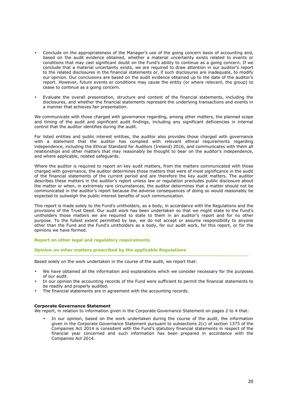- Conclude on the appropriateness of the Manager's use of the going concern basis of accounting and, based on the audit evidence obtained, whether a material uncertainty exists related to events or conditions that may cast significant doubt on the Fund's ability to continue as a going concern. If we conclude that a material uncertainty exists, we are required to draw attention in our auditor's report to the related disclosures in the financial statements or, if such disclosures are inadequate, to modify our opinion. Our conclusions are based on the audit evidence obtained up to the date of the auditor's report. However, future events or conditions may cause the entity (or where relevant, the group) to cease to continue as a going concern.
- Evaluate the overall presentation, structure and content of the financial statements, including the disclosures, and whether the financial statements represent the underlying transactions and events in a manner that achieves fair presentation.

We communicate with those charged with governance regarding, among other matters, the planned scope and timing of the audit and significant audit findings, including any significant deficiencies in internal control that the auditor identifies during the audit.

For listed entities and public interest entities, the auditor also provides those charged with governance with a statement that the auditor has complied with relevant ethical requirements regarding independence, including the Ethical Standard for Auditors (Ireland) 2016, and communicates with them all relationships and other matters that may reasonably be thought to bear on the auditor's independence, and where applicable, related safeguards.

Where the auditor is required to report on key audit matters, from the matters communicated with those charged with governance, the auditor determines those matters that were of most significance in the audit of the financial statements of the current period and are therefore the key audit matters. The auditor describes these matters in the auditor's report unless law or regulation precludes public disclosure about the matter or when, in extremely rare circumstances, the auditor determines that a matter should not be communicated in the auditor's report because the adverse consequences of doing so would reasonably be expected to outweigh the public interest benefits of such communication.

This report is made solely to the Fund's unitholders, as a body, in accordance with the Regulations and the provisions of the Trust Deed. Our audit work has been undertaken so that we might state to the Fund's unitholders those matters we are required to state to them in an auditor's report and for no other purpose. To the fullest extent permitted by law, we do not accept or assume responsibility to anyone other than the Fund and the Fund's unitholders as a body, for our audit work, for this report, or for the opinions we have formed.

#### **Report on other legal and regulatory requirements**

#### **Opinion on other matters prescribed by the applicable Regulations**

Based solely on the work undertaken in the course of the audit, we report that:

- We have obtained all the information and explanations which we consider necessary for the purposes of our audit.
- In our opinion the accounting records of the Fund were sufficient to permit the financial statements to be readily and properly audited.
- The financial statements are in agreement with the accounting records.

#### **Corporate Governance Statement**

We report, in relation to information given in the Corporate Governance Statement on pages 2 to 4 that:

In our opinion, based on the work undertaken during the course of the audit, the information given in the Corporate Governance Statement pursuant to subsections 2(c) of section 1373 of the Companies Act 2014 is consistent with the Fund's statutory financial statements in respect of the financial year concerned and such information has been prepared in accordance with the Companies Act 2014.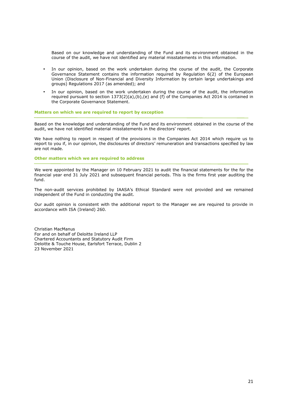Based on our knowledge and understanding of the Fund and its environment obtained in the course of the audit, we have not identified any material misstatements in this information.

- In our opinion, based on the work undertaken during the course of the audit, the Corporate Governance Statement contains the information required by Regulation 6(2) of the European Union (Disclosure of Non-Financial and Diversity Information by certain large undertakings and groups) Regulations 2017 (as amended); and
- In our opinion, based on the work undertaken during the course of the audit, the information required pursuant to section 1373(2)(a),(b),(e) and (f) of the Companies Act 2014 is contained in the Corporate Governance Statement.

#### **Matters on which we are required to report by exception**

Based on the knowledge and understanding of the Fund and its environment obtained in the course of the audit, we have not identified material misstatements in the directors' report.

We have nothing to report in respect of the provisions in the Companies Act 2014 which require us to report to you if, in our opinion, the disclosures of directors' remuneration and transactions specified by law are not made.

#### **Other matters which we are required to address**

We were appointed by the Manager on 10 February 2021 to audit the financial statements for the for the financial year end 31 July 2021 and subsequent financial periods. This is the firms first year auditing the fund.

The non-audit services prohibited by IAASA's Ethical Standard were not provided and we remained independent of the Fund in conducting the audit.

Our audit opinion is consistent with the additional report to the Manager we are required to provide in accordance with ISA (Ireland) 260.

Christian MacManus For and on behalf of Deloitte Ireland LLP Chartered Accountants and Statutory Audit Firm Deloitte & Touche House, Earlsfort Terrace, Dublin 2 23 November 2021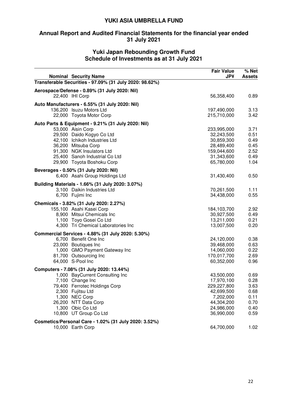# **Annual Report and Audited Financial Statements for the financial year ended 31 July 2021**

# **Yuki Japan Rebounding Growth Fund Schedule of Investments as at 31 July 2021**

| <b>Nominal Security Name</b>                            | <b>Fair Value</b><br><b>JP¥</b> | % Net<br><b>Assets</b> |
|---------------------------------------------------------|---------------------------------|------------------------|
| Transferable Securities - 97.09% (31 July 2020: 98.62%) |                                 |                        |
| Aerospace/Defense - 0.89% (31 July 2020: Nil)           |                                 |                        |
| 22,400 IHI Corp                                         | 56,358,400                      | 0.89                   |
| Auto Manufacturers - 6.55% (31 July 2020: Nil)          |                                 |                        |
| 136,200 Isuzu Motors Ltd                                | 197,490,000                     | 3.13                   |
| 22,000 Toyota Motor Corp                                | 215,710,000                     | 3.42                   |
| Auto Parts & Equipment - 9.21% (31 July 2020: Nil)      |                                 |                        |
| 53,000 Aisin Corp                                       | 233,995,000                     | 3.71                   |
| 29,500 Daido Kogyo Co Ltd                               | 32,243,500                      | 0.51                   |
| 42,100 Ichikoh Industries Ltd                           | 30,859,300                      | 0.49                   |
| 36,200 Mitsuba Corp                                     | 28,489,400                      | 0.45                   |
| 91,300 NGK Insulators Ltd                               | 159,044,600                     | 2.52                   |
| 25,400 Sanoh Industrial Co Ltd                          | 31,343,600                      | 0.49                   |
| 29,900 Toyota Boshoku Corp                              | 65,780,000                      | 1.04                   |
| Beverages - 0.50% (31 July 2020: Nil)                   |                                 |                        |
| 6,400 Asahi Group Holdings Ltd                          | 31,430,400                      | 0.50                   |
| Building Materials - 1.66% (31 July 2020: 3.07%)        |                                 |                        |
| 3,100 Daikin Industries Ltd                             | 70,261,500                      | 1.11                   |
| 6,700 Fujimi Inc                                        | 34,438,000                      | 0.55                   |
| Chemicals - 3.82% (31 July 2020: 2.27%)                 |                                 |                        |
| 155,100 Asahi Kasei Corp                                | 184, 103, 700                   | 2.92                   |
| 8,900 Mitsui Chemicals Inc                              | 30,927,500                      | 0.49                   |
| 1,100 Toyo Gosei Co Ltd                                 | 13,211,000                      | 0.21                   |
| 4,300 Tri Chemical Laboratories Inc                     | 13,007,500                      | 0.20                   |
| Commercial Services - 4.88% (31 July 2020: 5.30%)       |                                 |                        |
| 6,700 Benefit One Inc                                   | 24,120,000                      | 0.38                   |
| 23,000 Boutiques Inc                                    | 39,468,000                      | 0.63                   |
| 1,000 GMO Payment Gateway Inc                           | 14,060,000                      | 0.22                   |
| 81,700 Outsourcing Inc                                  | 170,017,700                     | 2.69                   |
| 64,000 S-Pool Inc                                       | 60,352,000                      | 0.96                   |
| Computers - 7.08% (31 July 2020: 13.44%)                |                                 |                        |
| 1,000 BayCurrent Consulting Inc                         | 43,500,000                      | 0.69                   |
| 7,100 Change Inc                                        | 17,970,100                      | 0.28                   |
| 79,400 Ferrotec Holdings Corp                           | 229,227,800                     | 3.63                   |
| 2,300 Fujitsu Ltd                                       | 42,699,500                      | 0.68                   |
| 1,300 NEC Corp                                          | 7,202,000                       | 0.11                   |
| 26,200 NTT Data Corp                                    | 44,304,200                      | 0.70                   |
| 1,300 Obic Co Ltd                                       | 24,986,000                      | 0.40                   |
| 10,800 UT Group Co Ltd                                  | 36,990,000                      | 0.59                   |
| Cosmetics/Personal Care - 1.02% (31 July 2020: 3.52%)   |                                 |                        |
| 10,000 Earth Corp                                       | 64,700,000                      | 1.02                   |
|                                                         |                                 |                        |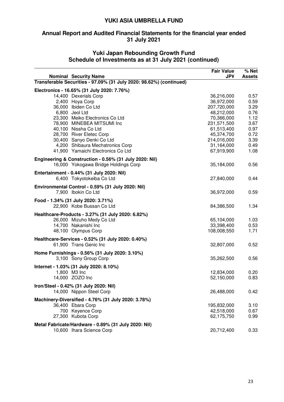# **Annual Report and Audited Financial Statements for the financial year ended 31 July 2021**

# **Yuki Japan Rebounding Growth Fund Schedule of Investments as at 31 July 2021 (continued)**

|                                                                          | <b>Fair Value</b> | $%$ Net       |
|--------------------------------------------------------------------------|-------------------|---------------|
| <b>Nominal Security Name</b>                                             | <b>JP¥</b>        | <b>Assets</b> |
| Transferable Securities - 97.09% (31 July 2020: 98.62%) (continued)      |                   |               |
| Electronics - 16.65% (31 July 2020: 7.76%)                               |                   |               |
| 14,400 Dexerials Corp                                                    | 36,216,000        | 0.57          |
| 2,400 Hoya Corp                                                          | 36,972,000        | 0.59          |
| 36,000 Ibiden Co Ltd                                                     | 207,720,000       | 3.29          |
| 6,800 Jeol Ltd                                                           | 48,212,000        | 0.76          |
| 23,300 Meiko Electronics Co Ltd                                          | 70,366,000        | 1.12          |
| 78,900 MINEBEA MITSUMI Inc                                               | 231,571,500       | 3.67          |
| 40,100 Nissha Co Ltd                                                     | 61,513,400        | 0.97          |
| 28,700 River Eletec Corp                                                 | 45,374,700        | 0.72          |
| 30,400 Sanyo Denki Co Ltd                                                | 214,016,000       | 3.39          |
| 4,200 Shibaura Mechatronics Corp                                         | 31,164,000        | 0.49          |
| 41,900 Yamaichi Electronics Co Ltd                                       | 67,919,900        | 1.08          |
|                                                                          |                   |               |
| Engineering & Construction - 0.56% (31 July 2020: Nil)                   |                   |               |
| 16,000 Yokogawa Bridge Holdings Corp                                     | 35,184,000        | 0.56          |
| Entertainment - 0.44% (31 July 2020: Nil)                                |                   |               |
| 6,400 Tokyotokeiba Co Ltd                                                | 27,840,000        | 0.44          |
| Environmental Control - 0.59% (31 July 2020: Nil)                        |                   |               |
| 7,900 Ibokin Co Ltd                                                      | 36,972,000        |               |
|                                                                          |                   | 0.59          |
| Food - 1.34% (31 July 2020: 3.71%)                                       |                   |               |
| 22,900 Kobe Bussan Co Ltd                                                | 84,386,500        | 1.34          |
| Healthcare-Products - 3.27% (31 July 2020: 6.82%)                        |                   |               |
| 26,000 Mizuho Medy Co Ltd                                                | 65,104,000        | 1.03          |
| 14,700 Nakanishi Inc                                                     | 33,398,400        | 0.53          |
| 48,100 Olympus Corp                                                      | 108,008,550       | 1.71          |
|                                                                          |                   |               |
| Healthcare-Services - 0.52% (31 July 2020: 0.40%)                        |                   |               |
| 61,900 Trans Genic Inc                                                   | 32,807,000        | 0.52          |
| Home Furnishings - 0.56% (31 July 2020: 3.10%)                           |                   |               |
| 3,100 Sony Group Corp                                                    | 35,262,500        | 0.56          |
|                                                                          |                   |               |
| Internet - 1.03% (31 July 2020: 8.10%)                                   |                   |               |
| 1,800 M3 Inc                                                             | 12,834,000        | 0.20          |
| 14,000 ZOZO Inc                                                          | 52,150,000        | 0.83          |
| Iron/Steel - 0.42% (31 July 2020: Nil)                                   |                   |               |
| 14,000 Nippon Steel Corp                                                 | 26,488,000        | 0.42          |
|                                                                          |                   |               |
| Machinery-Diversified - 4.76% (31 July 2020: 3.78%)<br>36,400 Ebara Corp | 195,832,000       | 3.10          |
|                                                                          |                   |               |
| 700 Keyence Corp                                                         | 42,518,000        | 0.67          |
| 27,300 Kubota Corp                                                       | 62,175,750        | 0.99          |
| Metal Fabricate/Hardware - 0.89% (31 July 2020: Nil)                     |                   |               |
| 10,600 Ihara Science Corp                                                | 20,712,400        | 0.33          |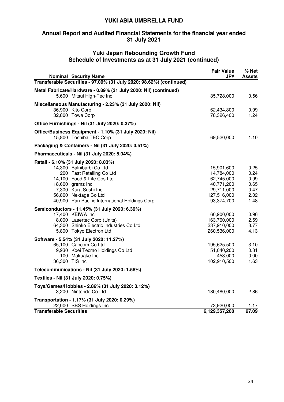# **Annual Report and Audited Financial Statements for the financial year ended 31 July 2021**

# **Yuki Japan Rebounding Growth Fund Schedule of Investments as at 31 July 2021 (continued)**

|                                | <b>Nominal Security Name</b>                                            | <b>Fair Value</b><br><b>JP¥</b> | % Net<br><b>Assets</b> |
|--------------------------------|-------------------------------------------------------------------------|---------------------------------|------------------------|
|                                | Transferable Securities - 97.09% (31 July 2020: 98.62%) (continued)     |                                 |                        |
|                                | Metal Fabricate/Hardware - 0.89% (31 July 2020: Nil) (continued)        |                                 |                        |
|                                | 5,600 Mitsui High-Tec Inc                                               | 35,728,000                      | 0.56                   |
|                                | Miscellaneous Manufacturing - 2.23% (31 July 2020: Nil)                 |                                 |                        |
|                                | 36,900 Kito Corp                                                        | 62,434,800                      | 0.99                   |
|                                | 32,800 Towa Corp                                                        | 78,326,400                      | 1.24                   |
|                                | Office Furnishings - Nil (31 July 2020: 0.37%)                          |                                 |                        |
|                                | Office/Business Equipment - 1.10% (31 July 2020: Nil)                   |                                 |                        |
|                                | 15,800 Toshiba TEC Corp                                                 | 69,520,000                      | 1.10                   |
|                                | Packaging & Containers - Nil (31 July 2020: 0.51%)                      |                                 |                        |
|                                | Pharmaceuticals - Nil (31 July 2020: 5.04%)                             |                                 |                        |
|                                | Retail - 6.10% (31 July 2020: 8.03%)                                    |                                 |                        |
|                                | 14,300 Balnibarbi Co Ltd                                                | 15,901,600                      | 0.25                   |
|                                | 200 Fast Retailing Co Ltd                                               | 14,784,000                      | 0.24                   |
|                                | 14,100 Food & Life Cos Ltd                                              | 62,745,000                      | 0.99                   |
|                                | 18,600 gremz Inc                                                        | 40,771,200                      | 0.65                   |
|                                | 7,300 Kura Sushi Inc                                                    | 29,711,000                      | 0.47                   |
|                                | 56,800 Nextage Co Ltd                                                   | 127,516,000<br>93,374,700       | 2.02<br>1.48           |
|                                | 40,900 Pan Pacific International Holdings Corp                          |                                 |                        |
|                                | Semiconductors - 11.45% (31 July 2020: 6.39%)                           |                                 |                        |
|                                | 17,400 KEIWA Inc                                                        | 60,900,000                      | 0.96                   |
|                                | 8,000 Lasertec Corp (Units)<br>64,300 Shinko Electric Industries Co Ltd | 163,760,000<br>237,910,000      | 2.59<br>3.77           |
|                                | 5,800 Tokyo Electron Ltd                                                | 260,536,000                     | 4.13                   |
|                                |                                                                         |                                 |                        |
|                                | Software - 5.54% (31 July 2020: 11.27%)                                 |                                 |                        |
|                                | 65,100 Capcom Co Ltd<br>9,930 Koei Tecmo Holdings Co Ltd                | 195,625,500                     | 3.10<br>0.81           |
|                                | 100 Makuake Inc                                                         | 51,040,200<br>453,000           | 0.00                   |
| 36,300 TIS Inc                 |                                                                         | 102,910,500                     | 1.63                   |
|                                | Telecommunications - Nil (31 July 2020: 1.58%)                          |                                 |                        |
|                                |                                                                         |                                 |                        |
|                                | Textiles - Nil (31 July 2020: 0.75%)                                    |                                 |                        |
|                                | Toys/Games/Hobbies - 2.86% (31 July 2020: 3.12%)                        |                                 |                        |
|                                | 3,200 Nintendo Co Ltd                                                   | 180,480,000                     | 2.86                   |
|                                | Transportation - 1.17% (31 July 2020: 0.29%)                            |                                 |                        |
|                                | 22,000 SBS Holdings Inc                                                 | 73,920,000                      | 1.17                   |
| <b>Transferable Securities</b> |                                                                         | 6,129,357,200                   | 97.09                  |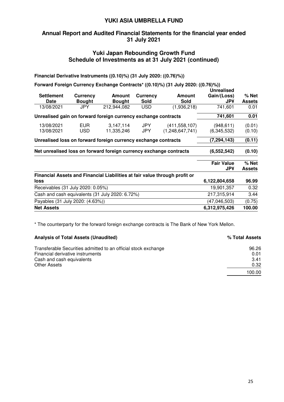# **Annual Report and Audited Financial Statements for the financial year ended 31 July 2021**

# **Yuki Japan Rebounding Growth Fund Schedule of Investments as at 31 July 2021 (continued)**

## **Financial Derivative Instruments ((0.10)%) (31 July 2020: ((0.76)%))**

## **Forward Foreign Currency Exchange Contracts\* ((0.10)%) (31 July 2020: ((0.76)%))**

| <b>Settlement</b>                                                  | <b>Currency</b> | Amount        | Currency   | Amount                                                                     | <b>Unrealised</b><br>Gain/(Loss) | % Net                  |
|--------------------------------------------------------------------|-----------------|---------------|------------|----------------------------------------------------------------------------|----------------------------------|------------------------|
| <b>Date</b>                                                        | <b>Bought</b>   | <b>Bought</b> | Sold       | <b>Sold</b>                                                                | <b>JP¥</b>                       | <b>Assets</b>          |
| 13/08/2021                                                         | <b>JPY</b>      | 212,944,082   | <b>USD</b> | (1,936,218)                                                                | 741,601                          | 0.01                   |
| Unrealised gain on forward foreign currency exchange contracts     |                 |               |            |                                                                            | 741,601                          | 0.01                   |
| 13/08/2021                                                         | EUR.            | 3,147,114     | JPY        | (411, 558, 107)                                                            | (948, 611)                       | (0.01)                 |
| 13/08/2021                                                         | USD.            | 11,335,246    | JPY        | (1,248,647,741)                                                            | (6,345,532)                      | (0.10)                 |
| Unrealised loss on forward foreign currency exchange contracts     |                 |               |            |                                                                            | (7, 294, 143)                    | (0.11)                 |
| Net unrealised loss on forward foreign currency exchange contracts |                 |               |            |                                                                            | (6, 552, 542)                    | (0.10)                 |
|                                                                    |                 |               |            |                                                                            | <b>Fair Value</b><br><b>JP¥</b>  | % Net<br><b>Assets</b> |
|                                                                    |                 |               |            | Financial Assets and Financial Liabilities at fair value through profit or |                                  |                        |
| <b>loss</b>                                                        |                 |               |            |                                                                            | 6,122,804,658                    | 96.99                  |
| Receivables (31 July 2020: 0.05%)                                  |                 |               |            |                                                                            | 19,901,357                       | 0.32                   |
| Cash and cash equivalents (31 July 2020: 6.72%)                    |                 |               |            |                                                                            | 217,315,914                      | 3.44                   |
| Payables (31 July 2020: (4.63%))                                   |                 |               |            |                                                                            | (47,046,503)                     | (0.75)                 |
| <b>Net Assets</b>                                                  |                 |               |            |                                                                            | 6,312,975,426                    | 100.00                 |

\* The counterparty for the forward foreign exchange contracts is The Bank of New York Mellon.

| <b>Analysis of Total Assets (Unaudited)</b>                    | % Total Assets |
|----------------------------------------------------------------|----------------|
| Transferable Securities admitted to an official stock exchange | 96.26          |
| Financial derivative instruments                               | 0.01           |
| Cash and cash equivalents                                      | 3.41           |
| <b>Other Assets</b>                                            | 0.32           |
|                                                                | 100.00         |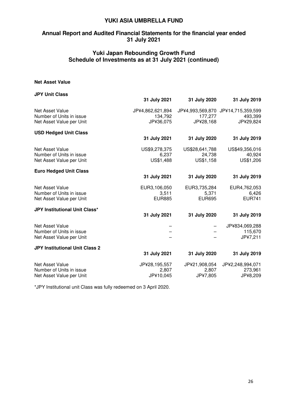# **Annual Report and Audited Financial Statements for the financial year ended 31 July 2021**

# **Yuki Japan Rebounding Growth Fund Schedule of Investments as at 31 July 2021 (continued)**

## **Net Asset Value**

| <b>JPY Unit Class</b>                                                   |                                          |                                        |                                                            |
|-------------------------------------------------------------------------|------------------------------------------|----------------------------------------|------------------------------------------------------------|
|                                                                         | 31 July 2021                             | 31 July 2020                           | 31 July 2019                                               |
| Net Asset Value<br>Number of Units in issue<br>Net Asset Value per Unit | JP¥4,862,621,894<br>134,792<br>JP¥36,075 | 177,277<br>JP¥28,168                   | JP¥4,993,569,870 JP¥14,715,359,599<br>493,399<br>JP¥29,824 |
| <b>USD Hedged Unit Class</b>                                            |                                          |                                        |                                                            |
|                                                                         | 31 July 2021                             | 31 July 2020                           | 31 July 2019                                               |
| Net Asset Value<br>Number of Units in issue<br>Net Asset Value per Unit | US\$9,278,375<br>6,237<br>US\$1,488      | US\$28,641,788<br>24,738<br>US\$1,158  | US\$49,356,016<br>40,924<br>US\$1,206                      |
| <b>Euro Hedged Unit Class</b>                                           | 31 July 2021                             | 31 July 2020                           | 31 July 2019                                               |
| Net Asset Value<br>Number of Units in issue<br>Net Asset Value per Unit | EUR3,106,050<br>3,511<br><b>EUR885</b>   | EUR3,735,284<br>5,371<br><b>EUR695</b> | EUR4,762,053<br>6,426<br><b>EUR741</b>                     |
| <b>JPY Institutional Unit Class*</b>                                    | 31 July 2021                             | 31 July 2020                           | 31 July 2019                                               |
| Net Asset Value<br>Number of Units in issue<br>Net Asset Value per Unit |                                          |                                        | JP¥834,069,288<br>115,670<br>JP¥7,211                      |
| <b>JPY Institutional Unit Class 2</b>                                   | 31 July 2021                             | 31 July 2020                           | 31 July 2019                                               |
| Net Asset Value<br>Number of Units in issue<br>Net Asset Value per Unit | JP¥28,195,557<br>2,807<br>JP¥10,045      | JP¥21,908,054<br>2,807<br>JP¥7,805     | JP¥2,248,994,071<br>273,961<br>JP¥8,209                    |
|                                                                         |                                          |                                        |                                                            |

\*JPY Institutional unit Class was fully redeemed on 3 April 2020.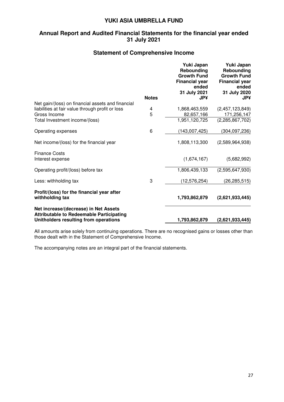# **Annual Report and Audited Financial Statements for the financial year ended 31 July 2021**

# **Statement of Comprehensive Income**

|                                                                                                                                   | <b>Notes</b>     | Yuki Japan<br>Rebounding<br><b>Growth Fund</b><br><b>Financial year</b><br>ended<br>31 July 2021<br><b>JP¥</b> | Yuki Japan<br>Rebounding<br><b>Growth Fund</b><br><b>Financial year</b><br>ended<br>31 July 2020<br><b>JP¥</b> |
|-----------------------------------------------------------------------------------------------------------------------------------|------------------|----------------------------------------------------------------------------------------------------------------|----------------------------------------------------------------------------------------------------------------|
| Net gain/(loss) on financial assets and financial                                                                                 |                  |                                                                                                                |                                                                                                                |
| liabilities at fair value through profit or loss<br>Gross Income                                                                  | 4<br>5           | 1,868,463,559<br>82,657,166                                                                                    | (2,457,123,849)<br>171,256,147                                                                                 |
| Total Investment income/(loss)                                                                                                    |                  | 1,951,120,725                                                                                                  | (2,285,867,702)                                                                                                |
| Operating expenses                                                                                                                | 6                | (143,007,425)                                                                                                  | (304, 097, 236)                                                                                                |
| Net income/(loss) for the financial year                                                                                          |                  | 1,808,113,300                                                                                                  | (2,589,964,938)                                                                                                |
| <b>Finance Costs</b><br>Interest expense                                                                                          |                  | (1,674,167)                                                                                                    | (5,682,992)                                                                                                    |
| Operating profit/(loss) before tax                                                                                                |                  | 1,806,439,133                                                                                                  | (2,595,647,930)                                                                                                |
| Less: withholding tax                                                                                                             | $\boldsymbol{3}$ | (12, 576, 254)                                                                                                 | (26,285,515)                                                                                                   |
| Profit/(loss) for the financial year after<br>withholding tax                                                                     |                  | 1,793,862,879                                                                                                  | (2,621,933,445)                                                                                                |
| Net increase/(decrease) in Net Assets<br><b>Attributable to Redeemable Participating</b><br>Unitholders resulting from operations |                  | 1,793,862,879                                                                                                  | (2,621,933,445)                                                                                                |

All amounts arise solely from continuing operations. There are no recognised gains or losses other than those dealt with in the Statement of Comprehensive Income.

The accompanying notes are an integral part of the financial statements.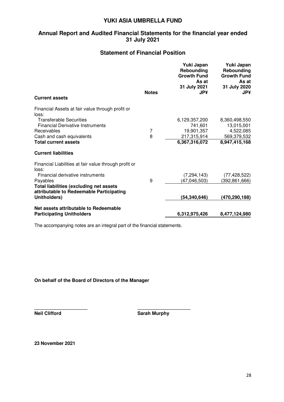# **Annual Report and Audited Financial Statements for the financial year ended 31 July 2021**

# **Statement of Financial Position**

|                                                                                            | <b>Notes</b> | Yuki Japan<br>Rebounding<br><b>Growth Fund</b><br>As at<br>31 July 2021<br><b>JP¥</b> | Yuki Japan<br>Rebounding<br><b>Growth Fund</b><br>As at<br>31 July 2020<br><b>JP¥</b> |
|--------------------------------------------------------------------------------------------|--------------|---------------------------------------------------------------------------------------|---------------------------------------------------------------------------------------|
| <b>Current assets</b>                                                                      |              |                                                                                       |                                                                                       |
| Financial Assets at fair value through profit or<br>loss:                                  |              |                                                                                       |                                                                                       |
| <b>Transferable Securities</b>                                                             |              | 6,129,357,200                                                                         | 8,360,498,550                                                                         |
| <b>Financial Derivative Instruments</b>                                                    |              | 741.601                                                                               | 13,015,001                                                                            |
| Receivables                                                                                | 7            | 19,901,357                                                                            | 4,522,085                                                                             |
| Cash and cash equivalents                                                                  | 8            | 217,315,914                                                                           | 569,379,532                                                                           |
| <b>Total current assets</b>                                                                |              | 6,367,316,072                                                                         | 8,947,415,168                                                                         |
| <b>Current liabilities</b>                                                                 |              |                                                                                       |                                                                                       |
| Financial Liabilities at fair value through profit or<br>loss:                             |              |                                                                                       |                                                                                       |
| Financial derivative instruments                                                           |              | (7, 294, 143)                                                                         | (77, 428, 522)                                                                        |
| Payables                                                                                   | 9            | (47,046,503)                                                                          | (392,861,666)                                                                         |
| <b>Total liabilities (excluding net assets</b><br>attributable to Redeemable Participating |              |                                                                                       |                                                                                       |
| Unitholders)                                                                               |              | (54,340,646)                                                                          | (470,290,188)                                                                         |
| Net assets attributable to Redeemable<br><b>Participating Unitholders</b>                  |              | 6,312,975,426                                                                         | 8,477,124,980                                                                         |
|                                                                                            |              |                                                                                       |                                                                                       |

The accompanying notes are an integral part of the financial statements.

**\_\_\_\_\_\_\_\_\_\_\_\_\_\_\_\_\_\_\_\_ \_\_\_\_\_\_\_\_\_\_\_\_\_\_\_\_\_\_\_\_** 

**On behalf of the Board of Directors of the Manager** 

**Neil Clifford Sarah Murphy** 

**23 November 2021**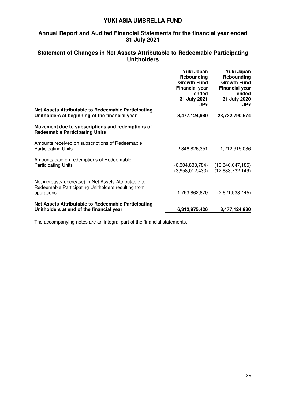# **Annual Report and Audited Financial Statements for the financial year ended 31 July 2021**

# **Statement of Changes in Net Assets Attributable to Redeemable Participating Unitholders**

|                                                                                                                            | Yuki Japan<br>Rebounding<br><b>Growth Fund</b><br><b>Financial year</b><br>ended<br>31 July 2021<br><b>JP¥</b> | Yuki Japan<br>Rebounding<br><b>Growth Fund</b><br><b>Financial year</b><br>ended<br>31 July 2020<br><b>JP¥</b> |
|----------------------------------------------------------------------------------------------------------------------------|----------------------------------------------------------------------------------------------------------------|----------------------------------------------------------------------------------------------------------------|
| Net Assets Attributable to Redeemable Participating<br>Unitholders at beginning of the financial year                      | 8,477,124,980                                                                                                  | 23,732,790,574                                                                                                 |
| Movement due to subscriptions and redemptions of<br><b>Redeemable Participating Units</b>                                  |                                                                                                                |                                                                                                                |
| Amounts received on subscriptions of Redeemable<br><b>Participating Units</b>                                              | 2,346,826,351                                                                                                  | 1,212,915,036                                                                                                  |
| Amounts paid on redemptions of Redeemable<br><b>Participating Units</b>                                                    | (6,304,838,784)<br>(3,958,012,433)                                                                             | (13,846,647,185)<br>(12,633,732,149)                                                                           |
| Net increase/(decrease) in Net Assets Attributable to<br>Redeemable Participating Unitholders resulting from<br>operations | 1,793,862,879                                                                                                  | (2,621,933,445)                                                                                                |
| Net Assets Attributable to Redeemable Participating<br>Unitholders at end of the financial year                            | 6,312,975,426                                                                                                  | 8,477,124,980                                                                                                  |

The accompanying notes are an integral part of the financial statements.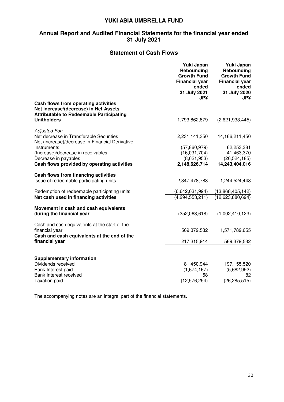# **Annual Report and Audited Financial Statements for the financial year ended 31 July 2021**

## **Statement of Cash Flows**

|                                                                                                                                  | Yuki Japan<br>Rebounding<br><b>Growth Fund</b><br><b>Financial year</b><br>ended<br>31 July 2021<br><b>JP¥</b> | Yuki Japan<br>Rebounding<br><b>Growth Fund</b><br><b>Financial year</b><br>ended<br>31 July 2020<br><b>JP¥</b> |
|----------------------------------------------------------------------------------------------------------------------------------|----------------------------------------------------------------------------------------------------------------|----------------------------------------------------------------------------------------------------------------|
| Cash flows from operating activities<br>Net increase/(decrease) in Net Assets<br><b>Attributable to Redeemable Participating</b> |                                                                                                                |                                                                                                                |
| <b>Unitholders</b>                                                                                                               | 1,793,862,879                                                                                                  | (2,621,933,445)                                                                                                |
| <b>Adjusted For.</b><br>Net decrease in Transferable Securities<br>Net (increase)/decrease in Financial Derivative               | 2,231,141,350                                                                                                  | 14, 166, 211, 450                                                                                              |
| Instruments                                                                                                                      | (57,860,979)                                                                                                   | 62,253,381                                                                                                     |
| (Increase)/decrease in receivables                                                                                               | (16,031,704)                                                                                                   | 41,463,370                                                                                                     |
| Decrease in payables                                                                                                             | (8,621,953)                                                                                                    | (26, 524, 185)                                                                                                 |
| Cash flows provided by operating activities                                                                                      | 2,148,626,714                                                                                                  | 14,243,404,016                                                                                                 |
| Cash flows from financing activities<br>Issue of redeemable participating units                                                  | 2,347,478,783                                                                                                  | 1,244,524,448                                                                                                  |
| Redemption of redeemable participating units                                                                                     | (6,642,031,994)                                                                                                | (13,868,405,142)                                                                                               |
| Net cash used in financing activities                                                                                            | (4, 294, 553, 211)                                                                                             | (12,623,880,694)                                                                                               |
| Movement in cash and cash equivalents<br>during the financial year                                                               | (352,063,618)                                                                                                  | (1,002,410,123)                                                                                                |
| Cash and cash equivalents at the start of the<br>financial year                                                                  | 569,379,532                                                                                                    | 1,571,789,655                                                                                                  |
| Cash and cash equivalents at the end of the<br>financial year                                                                    | 217,315,914                                                                                                    | 569,379,532                                                                                                    |
| <b>Supplementary information</b>                                                                                                 |                                                                                                                |                                                                                                                |
| Dividends received                                                                                                               | 81,450,944                                                                                                     | 197, 155, 520                                                                                                  |
| Bank Interest paid                                                                                                               | (1,674,167)                                                                                                    | (5,682,992)                                                                                                    |
| Bank Interest received                                                                                                           | 58                                                                                                             | 82                                                                                                             |
| <b>Taxation paid</b>                                                                                                             | (12, 576, 254)                                                                                                 | (26, 285, 515)                                                                                                 |

The accompanying notes are an integral part of the financial statements.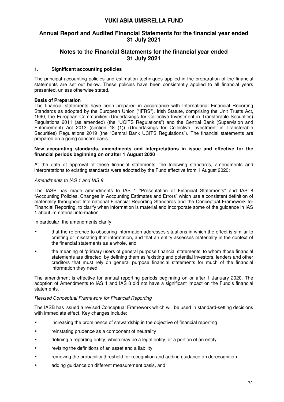# **Annual Report and Audited Financial Statements for the financial year ended 31 July 2021**

# **Notes to the Financial Statements for the financial year ended 31 July 2021**

#### **1. Significant accounting policies**

The principal accounting policies and estimation techniques applied in the preparation of the financial statements are set out below. These policies have been consistently applied to all financial years presented, unless otherwise stated.

#### **Basis of Preparation**

The financial statements have been prepared in accordance with International Financial Reporting Standards as adopted by the European Union ("IFRS"), Irish Statute, comprising the Unit Trusts Act, 1990, the European Communities (Undertakings for Collective Investment in Transferable Securities) Regulations 2011 (as amended) (the "UCITS Regulations") and the Central Bank (Supervision and Enforcement) Act 2013 (section 48 (1)) (Undertakings for Collective Investment in Transferable Securities) Regulations 2019 (the "Central Bank UCITS Regulations"). The financial statements are prepared on a going concern basis.

#### **New accounting standards, amendments and interpretations in issue and effective for the financial periods beginning on or after 1 August 2020**

At the date of approval of these financial statements, the following standards, amendments and interpretations to existing standards were adopted by the Fund effective from 1 August 2020:

#### Amendments to IAS 1 and IAS 8

The IASB has made amendments to IAS 1 "Presentation of Financial Statements" and IAS 8 "Accounting Policies, Changes in Accounting Estimates and Errors" which use a consistent definition of materiality throughout International Financial Reporting Standards and the Conceptual Framework for Financial Reporting, to clarify when information is material and incorporate some of the guidance in IAS 1 about immaterial information.

In particular, the amendments clarify:

- that the reference to obscuring information addresses situations in which the effect is similar to omitting or misstating that information, and that an entity assesses materiality in the context of the financial statements as a whole, and
- the meaning of 'primary users of general purpose financial statements' to whom those financial statements are directed, by defining them as 'existing and potential investors, lenders and other creditors that must rely on general purpose financial statements for much of the financial information they need.

The amendment is effective for annual reporting periods beginning on or after 1 January 2020. The adoption of Amendments to IAS 1 and IAS 8 did not have a significant impact on the Fund's financial statements.

#### Revised Conceptual Framework for Financial Reporting

The IASB has issued a revised Conceptual Framework which will be used in standard-setting decisions with immediate effect. Key changes include:

- increasing the prominence of stewardship in the objective of financial reporting
- reinstating prudence as a component of neutrality
- defining a reporting entity, which may be a legal entity, or a portion of an entity
- revising the definitions of an asset and a liability
- removing the probability threshold for recognition and adding guidance on derecognition
- adding guidance on different measurement basis, and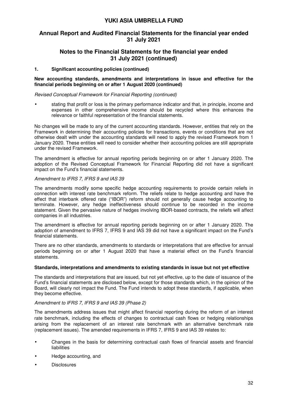# **Annual Report and Audited Financial Statements for the financial year ended 31 July 2021**

# **Notes to the Financial Statements for the financial year ended 31 July 2021 (continued)**

## **1. Significant accounting policies (continued)**

**New accounting standards, amendments and interpretations in issue and effective for the financial periods beginning on or after 1 August 2020 (continued)** 

Revised Conceptual Framework for Financial Reporting (continued)

• stating that profit or loss is the primary performance indicator and that, in principle, income and expenses in other comprehensive income should be recycled where this enhances the relevance or faithful representation of the financial statements.

No changes will be made to any of the current accounting standards. However, entities that rely on the Framework in determining their accounting policies for transactions, events or conditions that are not otherwise dealt with under the accounting standards will need to apply the revised Framework from 1 January 2020. These entities will need to consider whether their accounting policies are still appropriate under the revised Framework.

The amendment is effective for annual reporting periods beginning on or after 1 January 2020. The adoption of the Revised Conceptual Framework for Financial Reporting did not have a significant impact on the Fund's financial statements.

#### Amendment to IFRS 7, IFRS 9 and IAS 39

The amendments modify some specific hedge accounting requirements to provide certain reliefs in connection with interest rate benchmark reform. The reliefs relate to hedge accounting and have the effect that interbank offered rate ("IBOR") reform should not generally cause hedge accounting to terminate. However, any hedge ineffectiveness should continue to be recorded in the income statement. Given the pervasive nature of hedges involving IBOR-based contracts, the reliefs will affect companies in all industries.

The amendment is effective for annual reporting periods beginning on or after 1 January 2020. The adoption of amendment to IFRS 7, IFRS 9 and IAS 39 did not have a significant impact on the Fund's financial statements.

There are no other standards, amendments to standards or interpretations that are effective for annual periods beginning on or after 1 August 2020 that have a material effect on the Fund's financial statements.

#### **Standards, interpretations and amendments to existing standards in issue but not yet effective**

The standards and interpretations that are issued, but not yet effective, up to the date of issuance of the Fund's financial statements are disclosed below, except for those standards which, in the opinion of the Board, will clearly not impact the Fund. The Fund intends to adopt these standards, if applicable, when they become effective.

#### Amendment to IFRS 7, IFRS 9 and IAS 39 (Phase 2)

The amendments address issues that might affect financial reporting during the reform of an interest rate benchmark, including the effects of changes to contractual cash flows or hedging relationships arising from the replacement of an interest rate benchmark with an alternative benchmark rate (replacement issues). The amended requirements in IFRS 7, IFRS 9 and IAS 39 relates to:

- Changes in the basis for determining contractual cash flows of financial assets and financial liabilities
- Hedge accounting, and
- **Disclosures**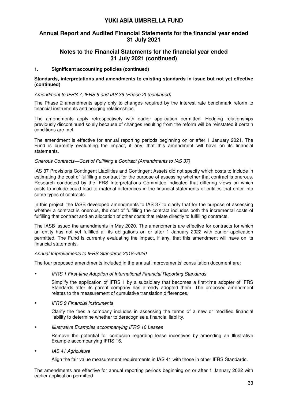# **Annual Report and Audited Financial Statements for the financial year ended 31 July 2021**

# **Notes to the Financial Statements for the financial year ended 31 July 2021 (continued)**

#### **1. Significant accounting policies (continued)**

## **Standards, interpretations and amendments to existing standards in issue but not yet effective (continued)**

## Amendment to IFRS 7, IFRS 9 and IAS 39 (Phase 2) (continued)

The Phase 2 amendments apply only to changes required by the interest rate benchmark reform to financial instruments and hedging relationships.

The amendments apply retrospectively with earlier application permitted. Hedging relationships previously discontinued solely because of changes resulting from the reform will be reinstated if certain conditions are met.

The amendment is effective for annual reporting periods beginning on or after 1 January 2021. The Fund is currently evaluating the impact, if any, that this amendment will have on its financial statements.

#### Onerous Contracts—Cost of Fulfilling a Contract (Amendments to IAS 37)

IAS 37 Provisions Contingent Liabilities and Contingent Assets did not specify which costs to include in estimating the cost of fulfilling a contract for the purpose of assessing whether that contract is onerous. Research conducted by the IFRS Interpretations Committee indicated that differing views on which costs to include could lead to material differences in the financial statements of entities that enter into some types of contracts.

In this project, the IASB developed amendments to IAS 37 to clarify that for the purpose of assessing whether a contract is onerous, the cost of fulfilling the contract includes both the incremental costs of fulfilling that contract and an allocation of other costs that relate directly to fulfilling contracts.

The IASB issued the amendments in May 2020. The amendments are effective for contracts for which an entity has not yet fulfilled all its obligations on or after 1 January 2022 with earlier application permitted. The Fund is currently evaluating the impact, if any, that this amendment will have on its financial statements.

#### Annual Improvements to IFRS Standards 2018–2020

The four proposed amendments included in the annual improvements' consultation document are:

• IFRS 1 First-time Adoption of International Financial Reporting Standards

Simplify the application of IFRS 1 by a subsidiary that becomes a first-time adopter of IFRS Standards after its parent company has already adopted them. The proposed amendment relates to the measurement of cumulative translation differences.

• IFRS 9 Financial Instruments

Clarify the fees a company includes in assessing the terms of a new or modified financial liability to determine whether to derecognise a financial liability.

• Illustrative Examples accompanying IFRS 16 Leases

Remove the potential for confusion regarding lease incentives by amending an Illustrative Example accompanying IFRS 16.

• IAS 41 Agriculture

Align the fair value measurement requirements in IAS 41 with those in other IFRS Standards.

The amendments are effective for annual reporting periods beginning on or after 1 January 2022 with earlier application permitted.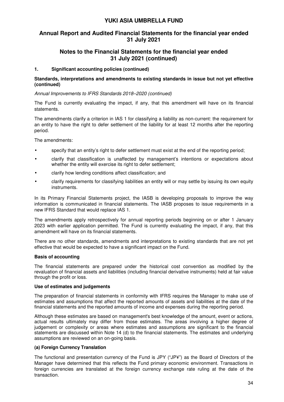# **Annual Report and Audited Financial Statements for the financial year ended 31 July 2021**

# **Notes to the Financial Statements for the financial year ended 31 July 2021 (continued)**

## **1. Significant accounting policies (continued)**

## **Standards, interpretations and amendments to existing standards in issue but not yet effective (continued)**

## Annual Improvements to IFRS Standards 2018–2020 (continued)

The Fund is currently evaluating the impact, if any, that this amendment will have on its financial statements.

The amendments clarify a criterion in IAS 1 for classifying a liability as non-current: the requirement for an entity to have the right to defer settlement of the liability for at least 12 months after the reporting period.

The amendments:

- specify that an entity's right to defer settlement must exist at the end of the reporting period;
- clarify that classification is unaffected by management's intentions or expectations about whether the entity will exercise its right to defer settlement;
- clarify how lending conditions affect classification; and
- clarify requirements for classifying liabilities an entity will or may settle by issuing its own equity instruments.

In its Primary Financial Statements project, the IASB is developing proposals to improve the way information is communicated in financial statements. The IASB proposes to issue requirements in a new IFRS Standard that would replace IAS 1.

The amendments apply retrospectively for annual reporting periods beginning on or after 1 January 2023 with earlier application permitted. The Fund is currently evaluating the impact, if any, that this amendment will have on its financial statements.

There are no other standards, amendments and interpretations to existing standards that are not yet effective that would be expected to have a significant impact on the Fund.

#### **Basis of accounting**

The financial statements are prepared under the historical cost convention as modified by the revaluation of financial assets and liabilities (including financial derivative instruments) held at fair value through the profit or loss.

#### **Use of estimates and judgements**

The preparation of financial statements in conformity with IFRS requires the Manager to make use of estimates and assumptions that affect the reported amounts of assets and liabilities at the date of the financial statements and the reported amounts of income and expenses during the reporting period.

Although these estimates are based on management's best knowledge of the amount, event or actions, actual results ultimately may differ from those estimates. The areas involving a higher degree of judgement or complexity or areas where estimates and assumptions are significant to the financial statements are discussed within Note 14 (d) to the financial statements. The estimates and underlying assumptions are reviewed on an on-going basis.

## **(a) Foreign Currency Translation**

The functional and presentation currency of the Fund is JPY ("JP¥") as the Board of Directors of the Manager have determined that this reflects the Fund primary economic environment. Transactions in foreign currencies are translated at the foreign currency exchange rate ruling at the date of the transaction.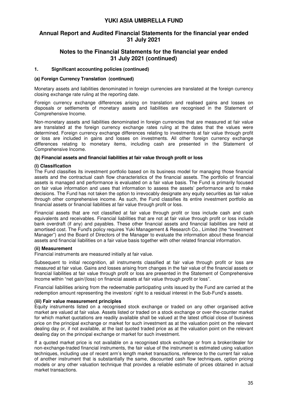# **Annual Report and Audited Financial Statements for the financial year ended 31 July 2021**

# **Notes to the Financial Statements for the financial year ended 31 July 2021 (continued)**

#### **1. Significant accounting policies (continued)**

#### **(a) Foreign Currency Translation (continued)**

Monetary assets and liabilities denominated in foreign currencies are translated at the foreign currency closing exchange rate ruling at the reporting date.

Foreign currency exchange differences arising on translation and realised gains and losses on disposals or settlements of monetary assets and liabilities are recognised in the Statement of Comprehensive Income.

Non-monetary assets and liabilities denominated in foreign currencies that are measured at fair value are translated at the foreign currency exchange rates ruling at the dates that the values were determined. Foreign currency exchange differences relating to investments at fair value through profit or loss are included in gains and losses on investments. All other foreign currency exchange differences relating to monetary items, including cash are presented in the Statement of Comprehensive Income.

#### **(b) Financial assets and financial liabilities at fair value through profit or loss**

#### **(i) Classification**

The Fund classifies its investment portfolio based on its business model for managing those financial assets and the contractual cash flow characteristics of the financial assets. The portfolio of financial assets is managed and performance is evaluated on a fair value basis. The Fund is primarily focused on fair value information and uses that information to assess the assets' performance and to make decisions. The Fund has not taken the option to irrevocably designate any equity securities as fair value through other comprehensive income. As such, the Fund classifies its entire investment portfolio as financial assets or financial liabilities at fair value through profit or loss.

Financial assets that are not classified at fair value through profit or loss include cash and cash equivalents and receivables. Financial liabilities that are not at fair value through profit or loss include bank overdraft (if any) and payables. These other financial assets and financial liabilities are held at amortised cost. The Fund's policy requires Yuki Management & Research Co., Limited (the "Investment Manager") and the Board of Directors of the Manager to evaluate the information about these financial assets and financial liabilities on a fair value basis together with other related financial information.

#### **(ii) Measurement**

Financial instruments are measured initially at fair value.

Subsequent to initial recognition, all instruments classified at fair value through profit or loss are measured at fair value. Gains and losses arising from changes in the fair value of the financial assets or financial liabilities at fair value through profit or loss are presented in the Statement of Comprehensive Income within "net gain/(loss) on financial assets at fair value through profit or loss".

Financial liabilities arising from the redeemable participating units issued by the Fund are carried at the redemption amount representing the investors' right to a residual interest in the Sub-Fund's assets.

#### **(iii) Fair value measurement principles**

Equity instruments listed on a recognised stock exchange or traded on any other organised active market are valued at fair value. Assets listed or traded on a stock exchange or over-the-counter market for which market quotations are readily available shall be valued at the latest official close of business price on the principal exchange or market for such investment as at the valuation point on the relevant dealing day or, if not available, at the last quoted traded price as at the valuation point on the relevant dealing day on the principal exchange or market for such investment.

If a quoted market price is not available on a recognised stock exchange or from a broker/dealer for non-exchange-traded financial instruments, the fair value of the instrument is estimated using valuation techniques, including use of recent arm's length market transactions, reference to the current fair value of another instrument that is substantially the same, discounted cash flow techniques, option pricing models or any other valuation technique that provides a reliable estimate of prices obtained in actual market transactions.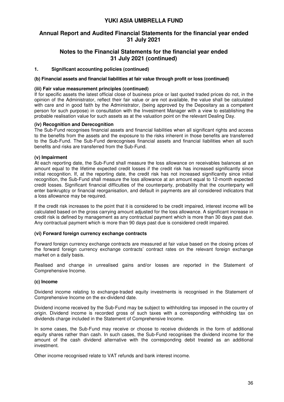# **Annual Report and Audited Financial Statements for the financial year ended 31 July 2021**

# **Notes to the Financial Statements for the financial year ended 31 July 2021 (continued)**

## **1. Significant accounting policies (continued)**

#### **(b) Financial assets and financial liabilities at fair value through profit or loss (continued)**

#### **(iii) Fair value measurement principles (continued)**

If for specific assets the latest official close of business price or last quoted traded prices do not, in the opinion of the Administrator, reflect their fair value or are not available, the value shall be calculated with care and in good faith by the Administrator, (being approved by the Depositary as a competent person for such purpose) in consultation with the Investment Manager with a view to establishing the probable realisation value for such assets as at the valuation point on the relevant Dealing Day.

#### **(iv) Recognition and Derecognition**

The Sub-Fund recognises financial assets and financial liabilities when all significant rights and access to the benefits from the assets and the exposure to the risks inherent in those benefits are transferred to the Sub-Fund. The Sub-Fund derecognises financial assets and financial liabilities when all such benefits and risks are transferred from the Sub-Fund.

#### **(v) Impairment**

At each reporting date, the Sub-Fund shall measure the loss allowance on receivables balances at an amount equal to the lifetime expected credit losses if the credit risk has increased significantly since initial recognition. If, at the reporting date, the credit risk has not increased significantly since initial recognition, the Sub-Fund shall measure the loss allowance at an amount equal to 12-month expected credit losses. Significant financial difficulties of the counterparty, probability that the counterparty will enter bankruptcy or financial reorganisation, and default in payments are all considered indicators that a loss allowance may be required.

If the credit risk increases to the point that it is considered to be credit impaired, interest income will be calculated based on the gross carrying amount adjusted for the loss allowance. A significant increase in credit risk is defined by management as any contractual payment which is more than 30 days past due. Any contractual payment which is more than 90 days past due is considered credit impaired.

#### **(vi) Forward foreign currency exchange contracts**

Forward foreign currency exchange contracts are measured at fair value based on the closing prices of the forward foreign currency exchange contracts' contract rates on the relevant foreign exchange market on a daily basis.

Realised and change in unrealised gains and/or losses are reported in the Statement of Comprehensive Income.

#### **(c) Income**

Dividend income relating to exchange-traded equity investments is recognised in the Statement of Comprehensive Income on the ex-dividend date.

Dividend income received by the Sub-Fund may be subject to withholding tax imposed in the country of origin. Dividend income is recorded gross of such taxes with a corresponding withholding tax on dividends charge included in the Statement of Comprehensive Income.

In some cases, the Sub-Fund may receive or choose to receive dividends in the form of additional equity shares rather than cash. In such cases, the Sub-Fund recognises the dividend income for the amount of the cash dividend alternative with the corresponding debit treated as an additional investment.

Other income recognised relate to VAT refunds and bank interest income.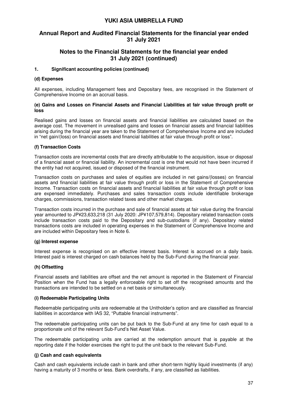# **Annual Report and Audited Financial Statements for the financial year ended 31 July 2021**

# **Notes to the Financial Statements for the financial year ended 31 July 2021 (continued)**

#### **1. Significant accounting policies (continued)**

## **(d) Expenses**

All expenses, including Management fees and Depositary fees, are recognised in the Statement of Comprehensive Income on an accrual basis.

#### **(e) Gains and Losses on Financial Assets and Financial Liabilities at fair value through profit or loss**

Realised gains and losses on financial assets and financial liabilities are calculated based on the average cost. The movement in unrealised gains and losses on financial assets and financial liabilities arising during the financial year are taken to the Statement of Comprehensive Income and are included in "net gain/(loss) on financial assets and financial liabilities at fair value through profit or loss".

## **(f) Transaction Costs**

Transaction costs are incremental costs that are directly attributable to the acquisition, issue or disposal of a financial asset or financial liability. An incremental cost is one that would not have been incurred if the entity had not acquired, issued or disposed of the financial instrument.

Transaction costs on purchases and sales of equities are included in net gains/(losses) on financial assets and financial liabilities at fair value through profit or loss in the Statement of Comprehensive Income. Transaction costs on financial assets and financial liabilities at fair value through profit or loss are expensed immediately. Purchases and sales transaction costs include identifiable brokerage charges, commissions, transaction related taxes and other market charges.

Transaction costs incurred in the purchase and sale of financial assets at fair value during the financial year amounted to JP¥23,633,218 (31 July 2020: JP¥107,579,814). Depositary related transaction costs include transaction costs paid to the Depositary and sub-custodians (if any). Depositary related transactions costs are included in operating expenses in the Statement of Comprehensive Income and are included within Depositary fees in Note 6.

#### **(g) Interest expense**

Interest expense is recognised on an effective interest basis. Interest is accrued on a daily basis. Interest paid is interest charged on cash balances held by the Sub-Fund during the financial year.

## **(h) Offsetting**

Financial assets and liabilities are offset and the net amount is reported in the Statement of Financial Position when the Fund has a legally enforceable right to set off the recognised amounts and the transactions are intended to be settled on a net basis or simultaneously.

#### **(i) Redeemable Participating Units**

Redeemable participating units are redeemable at the Unitholder's option and are classified as financial liabilities in accordance with IAS 32, "Puttable financial instruments".

The redeemable participating units can be put back to the Sub-Fund at any time for cash equal to a proportionate unit of the relevant Sub-Fund's Net Asset Value.

The redeemable participating units are carried at the redemption amount that is payable at the reporting date if the holder exercises the right to put the unit back to the relevant Sub-Fund.

#### **(j) Cash and cash equivalents**

Cash and cash equivalents include cash in bank and other short-term highly liquid investments (if any) having a maturity of 3 months or less. Bank overdrafts, if any, are classified as liabilities.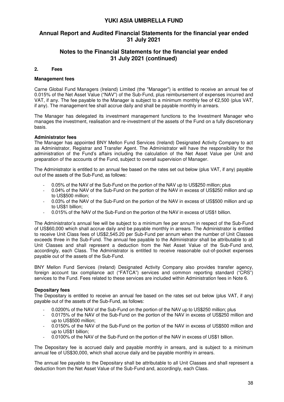# **Annual Report and Audited Financial Statements for the financial year ended 31 July 2021**

# **Notes to the Financial Statements for the financial year ended 31 July 2021 (continued)**

#### **2. Fees**

#### **Management fees**

Carne Global Fund Managers (Ireland) Limited (the "Manager") is entitled to receive an annual fee of 0.015% of the Net Asset Value ("NAV") of the Sub-Fund, plus reimbursement of expenses incurred and VAT, if any. The fee payable to the Manager is subject to a minimum monthly fee of €2,500 (plus VAT, if any). The management fee shall accrue daily and shall be payable monthly in arrears.

The Manager has delegated its investment management functions to the Investment Manager who manages the investment, realisation and re-investment of the assets of the Fund on a fully discretionary basis.

#### **Administrator fees**

The Manager has appointed BNY Mellon Fund Services (Ireland) Designated Activity Company to act as Administrator, Registrar and Transfer Agent. The Administrator will have the responsibility for the administration of the Fund's affairs including the calculation of the Net Asset Value per Unit and preparation of the accounts of the Fund, subject to overall supervision of Manager.

The Administrator is entitled to an annual fee based on the rates set out below (plus VAT, if any) payable out of the assets of the Sub-Fund, as follows:

- 0.05% of the NAV of the Sub-Fund on the portion of the NAV up to US\$250 million; plus
- 0.04% of the NAV of the Sub-Fund on the portion of the NAV in excess of US\$250 million and up to US\$500 million;
- 0.03% of the NAV of the Sub-Fund on the portion of the NAV in excess of US\$500 million and up to US\$1 billion;
- 0.015% of the NAV of the Sub-Fund on the portion of the NAV in excess of US\$1 billion.

The Administrator's annual fee will be subject to a minimum fee per annum in respect of the Sub-Fund of US\$60,000 which shall accrue daily and be payable monthly in arrears. The Administrator is entitled to receive Unit Class fees of US\$2,545.20 per Sub-Fund per annum when the number of Unit Classes exceeds three in the Sub-Fund. The annual fee payable to the Administrator shall be attributable to all Unit Classes and shall represent a deduction from the Net Asset Value of the Sub-Fund and, accordingly, each Class. The Administrator is entitled to receive reasonable out-of-pocket expenses payable out of the assets of the Sub-Fund.

BNY Mellon Fund Services (Ireland) Designated Activity Company also provides transfer agency, foreign account tax compliance act ("FATCA") services and common reporting standard ("CRS") services to the Fund. Fees related to these services are included within Administration fees in Note 6.

#### **Depositary fees**

The Depositary is entitled to receive an annual fee based on the rates set out below (plus VAT, if any) payable out of the assets of the Sub-Fund, as follows:

- 0.0200% of the NAV of the Sub-Fund on the portion of the NAV up to US\$250 million; plus
- 0.0175% of the NAV of the Sub-Fund on the portion of the NAV in excess of US\$250 million and up to US\$500 million;
- 0.0150% of the NAV of the Sub-Fund on the portion of the NAV in excess of US\$500 million and up to US\$1 billion;
- 0.0100% of the NAV of the Sub-Fund on the portion of the NAV in excess of US\$1 billion.

The Depositary fee is accrued daily and payable monthly in arrears, and is subject to a minimum annual fee of US\$30,000, which shall accrue daily and be payable monthly in arrears.

The annual fee payable to the Depositary shall be attributable to all Unit Classes and shall represent a deduction from the Net Asset Value of the Sub-Fund and, accordingly, each Class.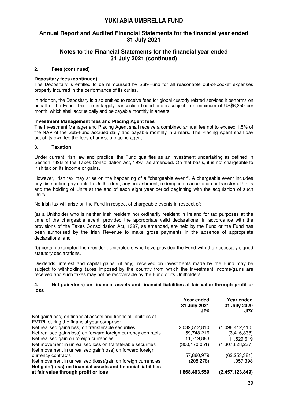# **Annual Report and Audited Financial Statements for the financial year ended 31 July 2021**

# **Notes to the Financial Statements for the financial year ended 31 July 2021 (continued)**

#### **2. Fees (continued)**

#### **Depositary fees (continued)**

The Depositary is entitled to be reimbursed by Sub-Fund for all reasonable out-of-pocket expenses properly incurred in the performance of its duties.

In addition, the Depositary is also entitled to receive fees for global custody related services it performs on behalf of the Fund. This fee is largely transaction based and is subject to a minimum of US\$6,250 per month, which shall accrue daily and be payable monthly in arrears.

#### **Investment Management fees and Placing Agent fees**

The Investment Manager and Placing Agent shall receive a combined annual fee not to exceed 1.5% of the NAV of the Sub-Fund accrued daily and payable monthly in arrears. The Placing Agent shall pay out of its own fee the fees of any sub-placing agent.

#### **3. Taxation**

Under current Irish law and practice, the Fund qualifies as an investment undertaking as defined in Section 739B of the Taxes Consolidation Act, 1997, as amended. On that basis, it is not chargeable to Irish tax on its income or gains.

However, Irish tax may arise on the happening of a "chargeable event". A chargeable event includes any distribution payments to Unitholders, any encashment, redemption, cancellation or transfer of Units and the holding of Units at the end of each eight year period beginning with the acquisition of such Units.

No Irish tax will arise on the Fund in respect of chargeable events in respect of:

(a) a Unitholder who is neither Irish resident nor ordinarily resident in Ireland for tax purposes at the time of the chargeable event, provided the appropriate valid declarations, in accordance with the provisions of the Taxes Consolidation Act, 1997, as amended, are held by the Fund or the Fund has been authorised by the Irish Revenue to make gross payments in the absence of appropriate declarations; and

(b) certain exempted Irish resident Unitholders who have provided the Fund with the necessary signed statutory declarations.

Dividends, interest and capital gains, (if any), received on investments made by the Fund may be subject to withholding taxes imposed by the country from which the investment income/gains are received and such taxes may not be recoverable by the Fund or its Unitholders.

#### **4. Net gain/(loss) on financial assets and financial liabilities at fair value through profit or loss**

|                                                                  | Year ended<br>31 July 2021<br><b>JP¥</b> | Year ended<br>31 July 2020<br><b>JP¥</b> |
|------------------------------------------------------------------|------------------------------------------|------------------------------------------|
| Net gain/(loss) on financial assets and financial liabilities at |                                          |                                          |
| FVTPL during the financial year comprise:                        |                                          |                                          |
| Net realised gain/(loss) on transferable securities              | 2,039,512,810                            | (1,096,412,410)                          |
| Net realised gain/(loss) on forward foreign currency contracts   | 59,748,216                               | (3, 416, 838)                            |
| Net realised gain on foreign currencies                          | 11,719,883                               | 11,529,619                               |
| Net movement in unrealised loss on transferable securities       | (300, 170, 051)                          | (1,307,628,237)                          |
| Net movement in unrealised gain/(loss) on forward foreign        |                                          |                                          |
| currency contracts                                               | 57,860,979                               | (62,253,381)                             |
| Net movement in unrealised (loss)/gain on foreign currencies     | (208,278)                                | 1,057,398                                |
| Net gain/(loss) on financial assets and financial liabilities    |                                          |                                          |
| at fair value through profit or loss                             | 1,868,463,559                            | (2, 457, 123, 849)                       |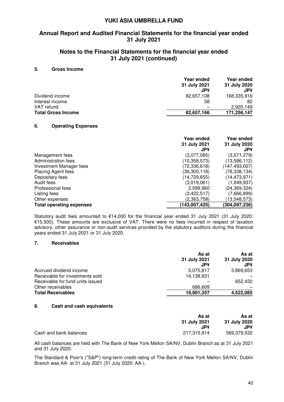# **Annual Report and Audited Financial Statements for the financial year ended 31 July 2021**

## **Notes to the Financial Statements for the financial year ended 31 July 2021 (continued)**

#### **5. Gross Income**

|                           | Year ended<br>31 July 2021<br><b>JP¥</b> | Year ended<br>31 July 2020<br><b>JP¥</b> |
|---------------------------|------------------------------------------|------------------------------------------|
| Dividend income           | 82,657,108                               | 168,335,916                              |
| Interest income           | 58                                       | 82                                       |
| VAT refund                |                                          | 2.920.149                                |
| <b>Total Gross Income</b> | 82,657,166                               | 171,256,147                              |

#### **6. Operating Expenses**

|                                 | Year ended<br>31 July 2021<br><b>JP¥</b> | <b>Year ended</b><br>31 July 2020<br><b>JP¥</b> |
|---------------------------------|------------------------------------------|-------------------------------------------------|
| Management fees                 | (3,077,085)                              | (3,571,279)                                     |
| Administration fees             | (10, 358, 573)                           | (13,586,112)                                    |
| Investment Manager fees         | (72,336,618)                             | (147,493,007)                                   |
| <b>Placing Agent fees</b>       | (36,300,118)                             | (78,338,134)                                    |
| Depositary fees                 | (14,729,655)                             | (14,473,971)                                    |
| Audit fees                      | (3,019,061)                              | (1,049,937)                                     |
| Professional fees               | 2,599,960                                | (24,369,324)                                    |
| Listing fees                    | (3,422,517)                              | (7,666,899)                                     |
| Other expenses                  | (2,363,758)                              | (13,548,573)                                    |
| <b>Total operating expenses</b> | (143,007,425)                            | (304,097,236)                                   |

Statutory audit fees amounted to €14,000 for the financial year ended 31 July 2021 (31 July 2020: €15,500). These amounts are exclusive of VAT. There were no fees incurred in respect of taxation advisory, other assurance or non-audit services provided by the statutory auditors during the financial years ended 31 July 2021 or 31 July 2020.

#### **7. Receivables**

|                                  | As at<br>31 July 2021<br><b>JP¥</b> | As at<br>31 July 2020<br><b>JP¥</b> |
|----------------------------------|-------------------------------------|-------------------------------------|
| Accrued dividend income          | 5,075,817                           | 3,869,653                           |
| Receivable for investments sold  | 14,138,931                          |                                     |
| Receivable for fund units issued |                                     | 652,432                             |
| Other receivables                | 686,609                             |                                     |
| <b>Total Receivables</b>         | 19,901,357                          | 4,522,085                           |

#### **8. Cash and cash equivalents**

|                        | As at        | As at        |
|------------------------|--------------|--------------|
|                        | 31 July 2021 | 31 July 2020 |
|                        | <b>JP¥</b>   | <b>JP¥</b>   |
| Cash and bank balances | 217,315,914  | 569,379,532  |

All cash balances are held with The Bank of New York Mellon SA/NV, Dublin Branch as at 31 July 2021 and 31 July 2020.

The Standard & Poor's ("S&P") long-term credit rating of The Bank of New York Mellon SA/NV, Dublin Branch was AA- at 31 July 2021 (31 July 2020: AA-).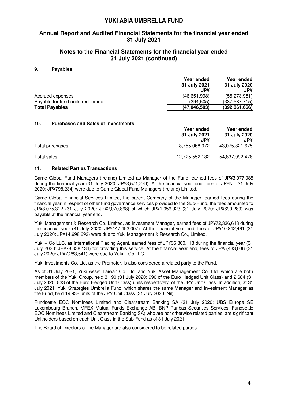# **Annual Report and Audited Financial Statements for the financial year ended 31 July 2021**

## **Notes to the Financial Statements for the financial year ended 31 July 2021 (continued)**

#### **9. Payables**

|                                 | Year ended   | Year ended      |
|---------------------------------|--------------|-----------------|
|                                 | 31 July 2021 | 31 July 2020    |
|                                 | <b>JP¥</b>   | <b>JP¥</b>      |
| Accrued expenses                | (46,651,998) | (55, 273, 951)  |
| Payable for fund units redeemed | (394.505)    | (337, 587, 715) |
| <b>Total Payables</b>           | (47,046,503) | (392, 861, 666) |

#### **10. Purchases and Sales of Investments**

|                 | Year ended     | Year ended     |
|-----------------|----------------|----------------|
|                 | 31 July 2021   | 31 July 2020   |
|                 | <b>JP¥</b>     | <b>JP¥</b>     |
| Total purchases | 8.755.068.072  | 43,075,821,675 |
| Total sales     | 12,725,552,182 | 54,837,992,478 |

#### **11. Related Parties Transactions**

Carne Global Fund Managers (Ireland) Limited as Manager of the Fund, earned fees of JP¥3,077,085 during the financial year (31 July 2020: JP¥3,571,279). At the financial year end, fees of JP¥Nil (31 July 2020: JP¥798,234) were due to Carne Global Fund Managers (Ireland) Limited.

Carne Global Financial Services Limited, the parent Company of the Manager, earned fees during the financial year in respect of other fund governance services provided to the Sub-Fund, the fees amounted to JP¥3,075,312 (31 July 2020: JP¥2,070,868) of which JP¥1,056,923 (31 July 2020: JP¥690,289) was payable at the financial year end.

Yuki Management & Research Co. Limited, as Investment Manager, earned fees of JP¥72,336,618 during the financial year (31 July 2020: JP¥147,493,007). At the financial year end, fees of JP¥10,842,461 (31 July 2020: JP¥14,698,693) were due to Yuki Management & Research Co., Limited.

Yuki – Co LLC, as International Placing Agent, earned fees of JP¥36,300,118 during the financial year (31 July 2020: JP¥78,338,134) for providing this service. At the financial year end, fees of JP¥5,433,036 (31 July 2020: JP¥7,283,541) were due to Yuki – Co LLC.

Yuki Investments Co. Ltd, as the Promoter, is also considered a related party to the Fund.

As of 31 July 2021, Yuki Asset Taiwan Co. Ltd. and Yuki Asset Management Co. Ltd. which are both members of the Yuki Group, held 3,190 (31 July 2020: 990 of the Euro Hedged Unit Class) and 2,684 (31 July 2020: 833 of the Euro Hedged Unit Class) units respectively, of the JPY Unit Class. In addition, at 31 July 2021, Yuki Strategies Umbrella Fund, which shares the same Manager and Investment Manager as the Fund, held 19,938 units of the JPY Unit Class (31 July 2020: Nil).

Fundsettle EOC Nominees Limited and Clearstream Banking SA (31 July 2020: UBS Europe SE Luxembourg Branch, MFEX Mutual Funds Exchange AB, BNP Paribas Securities Services, Fundsettle EOC Nominees Limited and Clearstream Banking SA) who are not otherwise related parties, are significant Unitholders based on each Unit Class in the Sub-Fund as of 31 July 2021.

The Board of Directors of the Manager are also considered to be related parties.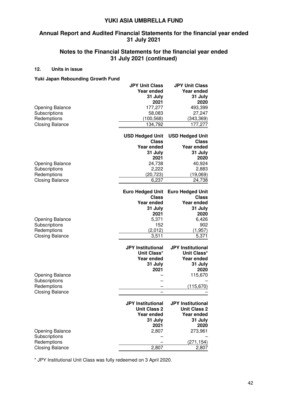# **Annual Report and Audited Financial Statements for the financial year ended 31 July 2021**

# **Notes to the Financial Statements for the financial year ended 31 July 2021 (continued)**

## **12. Units in issue**

## **Yuki Japan Rebounding Growth Fund**

|                                         | <b>JPY Unit Class</b>                                                    | <b>JPY Unit Class</b>                                                    |
|-----------------------------------------|--------------------------------------------------------------------------|--------------------------------------------------------------------------|
|                                         | Year ended                                                               | Year ended                                                               |
|                                         | 31 July<br>2021                                                          | 31 July<br>2020                                                          |
| <b>Opening Balance</b>                  | 177,277                                                                  | 493,399                                                                  |
| Subscriptions                           | 58,083                                                                   | 27,247                                                                   |
| Redemptions                             | (100,568)                                                                | (343,369)                                                                |
| <b>Closing Balance</b>                  | 134,792                                                                  | 177,277                                                                  |
|                                         | <b>USD Hedged Unit</b>                                                   | <b>USD Hedged Unit</b>                                                   |
|                                         | Class                                                                    | Class                                                                    |
|                                         | Year ended                                                               | Year ended                                                               |
|                                         | 31 July                                                                  | 31 July                                                                  |
|                                         | 2021                                                                     | 2020                                                                     |
| <b>Opening Balance</b>                  | 24,738                                                                   | 40,924                                                                   |
| Subscriptions<br>Redemptions            | 2,222<br>(20, 723)                                                       | 2,883<br>(19,069)                                                        |
| <b>Closing Balance</b>                  | 6,237                                                                    | 24,738                                                                   |
|                                         |                                                                          |                                                                          |
|                                         | <b>Euro Hedged Unit</b>                                                  | <b>Euro Hedged Unit</b>                                                  |
|                                         | <b>Class</b>                                                             | <b>Class</b>                                                             |
|                                         | Year ended                                                               | <b>Year ended</b>                                                        |
|                                         | 31 July                                                                  | 31 July                                                                  |
|                                         | 2021                                                                     | 2020                                                                     |
| <b>Opening Balance</b><br>Subscriptions | 5,371<br>152                                                             | 6,426<br>902                                                             |
| Redemptions                             | (2,012)                                                                  | (1, 957)                                                                 |
| <b>Closing Balance</b>                  | 3,511                                                                    | 5,371                                                                    |
|                                         |                                                                          |                                                                          |
|                                         | <b>JPY Institutional</b><br>Unit Class*                                  | <b>JPY Institutional</b><br><b>Unit Class*</b>                           |
|                                         | Year ended                                                               | Year ended                                                               |
|                                         | 31 July                                                                  | 31 July                                                                  |
|                                         | 2021                                                                     | 2020                                                                     |
| <b>Opening Balance</b>                  |                                                                          | 115,670                                                                  |
| Subscriptions                           |                                                                          |                                                                          |
| Redemptions                             |                                                                          | (115, 670)                                                               |
| <b>Closing Balance</b>                  |                                                                          |                                                                          |
|                                         | <b>JPY Institutional</b><br><b>Unit Class 2</b><br>Year ended<br>31 July | <b>JPY Institutional</b><br><b>Unit Class 2</b><br>Year ended<br>31 July |

|                        | 2021  | 2020      |
|------------------------|-------|-----------|
| Opening Balance        | 2.807 | 273.961   |
| Subscriptions          |       |           |
| Redemptions            |       | (271.154) |
| <b>Closing Balance</b> | 2.807 | 2.807     |

\* JPY Institutional Unit Class was fully redeemed on 3 April 2020.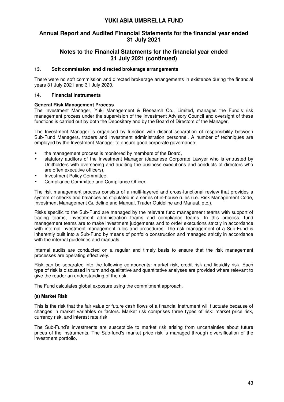# **Annual Report and Audited Financial Statements for the financial year ended 31 July 2021**

# **Notes to the Financial Statements for the financial year ended 31 July 2021 (continued)**

#### **13. Soft commission and directed brokerage arrangements**

There were no soft commission and directed brokerage arrangements in existence during the financial years 31 July 2021 and 31 July 2020.

#### **14. Financial instruments**

#### **General Risk Management Process**

The Investment Manager, Yuki Management & Research Co., Limited, manages the Fund's risk management process under the supervision of the Investment Advisory Council and oversight of these functions is carried out by both the Depositary and by the Board of Directors of the Manager.

The Investment Manager is organised by function with distinct separation of responsibility between Sub-Fund Managers, traders and investment administration personnel. A number of techniques are employed by the Investment Manager to ensure good corporate governance:

- the management process is monitored by members of the Board,
- statutory auditors of the Investment Manager (Japanese Corporate Lawyer who is entrusted by Unitholders with overseeing and auditing the business executions and conducts of directors who are often executive officers),
- Investment Policy Committee,
- Compliance Committee and Compliance Officer.

The risk management process consists of a multi-layered and cross-functional review that provides a system of checks and balances as stipulated in a series of in-house rules (i.e. Risk Management Code, Investment Management Guideline and Manual, Trader Guideline and Manual, etc.).

Risks specific to the Sub-Fund are managed by the relevant fund management teams with support of trading teams, investment administration teams and compliance teams. In this process, fund management teams are to make investment judgements and to order executions strictly in accordance with internal investment management rules and procedures. The risk management of a Sub-Fund is inherently built into a Sub-Fund by means of portfolio construction and managed strictly in accordance with the internal quidelines and manuals.

Internal audits are conducted on a regular and timely basis to ensure that the risk management processes are operating effectively.

Risk can be separated into the following components: market risk, credit risk and liquidity risk. Each type of risk is discussed in turn and qualitative and quantitative analyses are provided where relevant to give the reader an understanding of the risk.

The Fund calculates global exposure using the commitment approach.

#### **(a) Market Risk**

This is the risk that the fair value or future cash flows of a financial instrument will fluctuate because of changes in market variables or factors. Market risk comprises three types of risk: market price risk, currency risk, and interest rate risk.

The Sub-Fund's investments are susceptible to market risk arising from uncertainties about future prices of the instruments. The Sub-fund's market price risk is managed through diversification of the investment portfolio.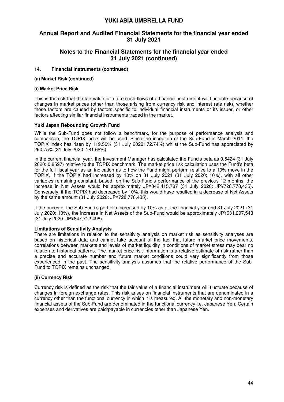# **Annual Report and Audited Financial Statements for the financial year ended 31 July 2021**

# **Notes to the Financial Statements for the financial year ended 31 July 2021 (continued)**

#### **14. Financial instruments (continued)**

#### **(a) Market Risk (continued)**

#### **(i) Market Price Risk**

This is the risk that the fair value or future cash flows of a financial instrument will fluctuate because of changes in market prices (other than those arising from currency risk and interest rate risk), whether those factors are caused by factors specific to individual financial instruments or its issuer, or other factors affecting similar financial instruments traded in the market.

#### **Yuki Japan Rebounding Growth Fund**

While the Sub-Fund does not follow a benchmark, for the purpose of performance analysis and comparison, the TOPIX index will be used. Since the inception of the Sub-Fund in March 2011, the TOPIX index has risen by 119.50% (31 July 2020: 72.74%) whilst the Sub-Fund has appreciated by 260.75% (31 July 2020: 181.68%).

In the current financial year, the Investment Manager has calculated the Fund's beta as 0.5424 (31 July 2020: 0.8597) relative to the TOPIX benchmark. The market price risk calculation uses the Fund's beta for the full fiscal year as an indication as to how the Fund might perform relative to a 10% move in the TOPIX. If the TOPIX had increased by 10% on 31 July 2021 (31 July 2020: 10%), with all other variables remaining constant, based on the Sub-Fund's performance of the previous 12 months, the increase in Net Assets would be approximately JP¥342,415,787 (31 July 2020: JP¥728,778,435). Conversely, if the TOPIX had decreased by 10%, this would have resulted in a decrease of Net Assets by the same amount (31 July 2020: JP¥728,778,435).

If the prices of the Sub-Fund's portfolio increased by 10% as at the financial year end 31 July 2021 (31 July 2020: 10%), the increase in Net Assets of the Sub-Fund would be approximately JP¥631,297,543 (31 July 2020: JP¥847,712,498).

#### **Limitations of Sensitivity Analysis**

There are limitations in relation to the sensitivity analysis on market risk as sensitivity analyses are based on historical data and cannot take account of the fact that future market price movements, correlations between markets and levels of market liquidity in conditions of market stress may bear no relation to historical patterns. The market price risk information is a relative estimate of risk rather than a precise and accurate number and future market conditions could vary significantly from those experienced in the past. The sensitivity analysis assumes that the relative performance of the Sub-Fund to TOPIX remains unchanged.

#### **(ii) Currency Risk**

Currency risk is defined as the risk that the fair value of a financial instrument will fluctuate because of changes in foreign exchange rates. This risk arises on financial instruments that are denominated in a currency other than the functional currency in which it is measured. All the monetary and non-monetary financial assets of the Sub-Fund are denominated in the functional currency i.e. Japanese Yen. Certain expenses and derivatives are paid/payable in currencies other than Japanese Yen.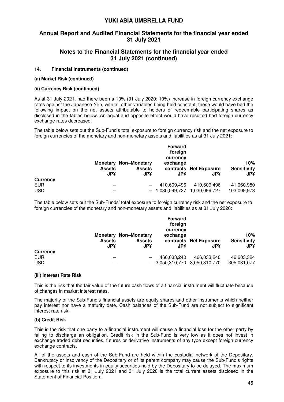# **Annual Report and Audited Financial Statements for the financial year ended 31 July 2021**

# **Notes to the Financial Statements for the financial year ended 31 July 2021 (continued)**

#### **14. Financial instruments (continued)**

#### **(a) Market Risk (continued)**

#### **(ii) Currency Risk (continued)**

As at 31 July 2021, had there been a 10% (31 July 2020: 10%) increase in foreign currency exchange rates against the Japanese Yen, with all other variables being held constant, these would have had the following impact on the net assets attributable to holders of redeemable participating shares as disclosed in the tables below. An equal and opposite effect would have resulted had foreign currency exchange rates decreased.

The table below sets out the Sub-Fund's total exposure to foreign currency risk and the net exposure to foreign currencies of the monetary and non-monetary assets and liabilities as at 31 July 2021:

|                 |                             | <b>Forward</b><br>foreign<br>currency                       |                        |                                      |                                            |
|-----------------|-----------------------------|-------------------------------------------------------------|------------------------|--------------------------------------|--------------------------------------------|
|                 | <b>Assets</b><br><b>JP¥</b> | <b>Monetary Non-Monetary</b><br><b>Assets</b><br><b>JP¥</b> | exchange<br><b>JP¥</b> | contracts Net Exposure<br><b>JP¥</b> | $10\%$<br><b>Sensitivity</b><br><b>JP¥</b> |
| <b>Currency</b> |                             |                                                             |                        |                                      |                                            |
| <b>EUR</b>      |                             |                                                             | 410,609,496            | 410.609.496                          | 41,060,950                                 |
| <b>USD</b>      |                             |                                                             | $-1,030,099,727$       | 1,030,099,727                        | 103,009,973                                |

The table below sets out the Sub-Funds' total exposure to foreign currency risk and the net exposure to foreign currencies of the monetary and non-monetary assets and liabilities as at 31 July 2020:

|                 |                             |                                                             | <b>Forward</b><br>foreign<br>currency |                                      |                                            |
|-----------------|-----------------------------|-------------------------------------------------------------|---------------------------------------|--------------------------------------|--------------------------------------------|
|                 | <b>Assets</b><br><b>JP¥</b> | <b>Monetary Non-Monetary</b><br><b>Assets</b><br><b>JP¥</b> | exchange<br><b>JP¥</b>                | contracts Net Exposure<br><b>JP¥</b> | $10\%$<br><b>Sensitivity</b><br><b>JP¥</b> |
| <b>Currency</b> |                             |                                                             |                                       |                                      |                                            |
| <b>EUR</b>      |                             |                                                             | 466.033.240                           | 466.033.240                          | 46,603,324                                 |
| <b>USD</b>      |                             |                                                             | $-3,050,310,770$ 3,050,310,770        |                                      | 305,031,077                                |

#### **(iii) Interest Rate Risk**

This is the risk that the fair value of the future cash flows of a financial instrument will fluctuate because of changes in market interest rates.

The majority of the Sub-Fund's financial assets are equity shares and other instruments which neither pay interest nor have a maturity date. Cash balances of the Sub-Fund are not subject to significant interest rate risk.

#### **(b) Credit Risk**

This is the risk that one party to a financial instrument will cause a financial loss for the other party by failing to discharge an obligation. Credit risk in the Sub-Fund is very low as it does not invest in exchange traded debt securities, futures or derivative instruments of any type except foreign currency exchange contracts.

All of the assets and cash of the Sub-Fund are held within the custodial network of the Depositary. Bankruptcy or insolvency of the Depositary or of its parent company may cause the Sub-Fund's rights with respect to its investments in equity securities held by the Depositary to be delayed. The maximum exposure to this risk at 31 July 2021 and 31 July 2020 is the total current assets disclosed in the Statement of Financial Position.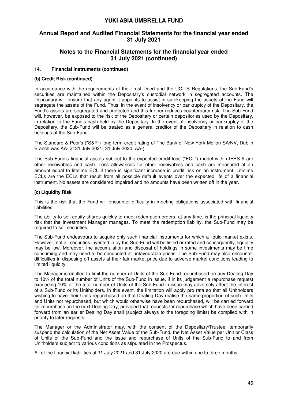# **Annual Report and Audited Financial Statements for the financial year ended 31 July 2021**

# **Notes to the Financial Statements for the financial year ended 31 July 2021 (continued)**

#### **14. Financial instruments (continued)**

#### **(b) Credit Risk (continued)**

In accordance with the requirements of the Trust Deed and the UCITS Regulations, the Sub-Fund's securities are maintained within the Depositary's custodial network in segregated accounts. The Depositary will ensure that any agent it appoints to assist in safekeeping the assets of the Fund will segregate the assets of the Fund. Thus, in the event of insolvency or bankruptcy of the Depositary, the Fund's assets are segregated and protected and this further reduces counterparty risk. The Sub-Fund will, however, be exposed to the risk of the Depositary or certain depositories used by the Depositary, in relation to the Fund's cash held by the Depositary. In the event of insolvency or bankruptcy of the Depositary, the Sub-Fund will be treated as a general creditor of the Depositary in relation to cash holdings of the Sub-Fund.

The Standard & Poor's ("S&P") long-term credit rating of The Bank of New York Mellon SA/NV, Dublin Branch was AA- at 31 July 2021( 31 July 2020: AA-).

The Sub-Fund's financial assets subject to the expected credit loss ("ECL") model within IFRS 9 are other receivables and cash. Loss allowances for other receivables and cash are measured at an amount equal to lifetime ECL if there is significant increase in credit risk on an instrument. Lifetime ECLs are the ECLs that result from all possible default events over the expected life of a financial instrument. No assets are considered impaired and no amounts have been written off in the year.

#### **(c) Liquidity Risk**

This is the risk that the Fund will encounter difficulty in meeting obligations associated with financial liabilities.

The ability to sell equity shares quickly to meet redemption orders, at any time, is the principal liquidity risk that the Investment Manager manages. To meet the redemption liability, the Sub-Fund may be required to sell securities.

The Sub-Fund endeavours to acquire only such financial instruments for which a liquid market exists. However, not all securities invested in by the Sub-Fund will be listed or rated and consequently, liquidity may be low. Moreover, the accumulation and disposal of holdings in some investments may be time consuming and may need to be conducted at unfavourable prices. The Sub-Fund may also encounter difficulties in disposing off assets at their fair market price due to adverse market conditions leading to limited liquidity.

The Manager is entitled to limit the number of Units of the Sub-Fund repurchased on any Dealing Day to 10% of the total number of Units of the Sub-Fund in issue, if in its judgement a repurchase request exceeding 10% of the total number of Units of the Sub-Fund in issue may adversely affect the interest of a Sub-Fund or its Unitholders. In this event, the limitation will apply pro rata so that all Unitholders wishing to have their Units repurchased on that Dealing Day realise the same proportion of such Units and Units not repurchased, but which would otherwise have been repurchased, will be carried forward for repurchase on the next Dealing Day, provided that requests for repurchase which have been carried forward from an earlier Dealing Day shall (subject always to the foregoing limits) be complied with in priority to later requests.

The Manager or the Administrator may, with the consent of the Depositary/Trustee, temporarily suspend the calculation of the Net Asset Value of the Sub-Fund, the Net Asset Value per Unit or Class of Units of the Sub-Fund and the issue and repurchase of Units of the Sub-Fund to and from Unitholders subject to various conditions as stipulated in the Prospectus.

All of the financial liabilities at 31 July 2021 and 31 July 2020 are due within one to three months.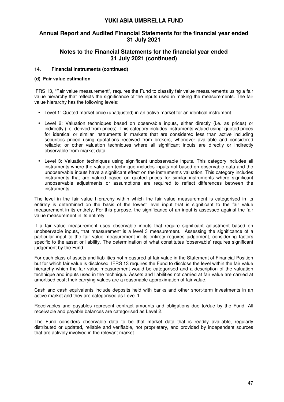# **Annual Report and Audited Financial Statements for the financial year ended 31 July 2021**

# **Notes to the Financial Statements for the financial year ended 31 July 2021 (continued)**

#### **14. Financial instruments (continued)**

#### **(d) Fair value estimation**

IFRS 13, "Fair value measurement", requires the Fund to classify fair value measurements using a fair value hierarchy that reflects the significance of the inputs used in making the measurements. The fair value hierarchy has the following levels:

- Level 1: Quoted market price (unadiusted) in an active market for an identical instrument.
- Level 2: Valuation techniques based on observable inputs, either directly (i.e. as prices) or indirectly (i.e. derived from prices). This category includes instruments valued using: quoted prices for identical or similar instruments in markets that are considered less than active including securities priced using quotations received from brokers, whenever available and considered reliable; or other valuation techniques where all significant inputs are directly or indirectly observable from market data.
- Level 3: Valuation techniques using significant unobservable inputs. This category includes all instruments where the valuation technique includes inputs not based on observable data and the unobservable inputs have a significant effect on the instrument's valuation. This category includes instruments that are valued based on quoted prices for similar instruments where significant unobservable adjustments or assumptions are required to reflect differences between the instruments.

The level in the fair value hierarchy within which the fair value measurement is categorised in its entirety is determined on the basis of the lowest level input that is significant to the fair value measurement in its entirety. For this purpose, the significance of an input is assessed against the fair value measurement in its entirety.

If a fair value measurement uses observable inputs that require significant adjustment based on unobservable inputs, that measurement is a level 3 measurement. Assessing the significance of a particular input to the fair value measurement in its entirety requires judgement, considering factors specific to the asset or liability. The determination of what constitutes 'observable' requires significant judgement by the Fund.

For each class of assets and liabilities not measured at fair value in the Statement of Financial Position but for which fair value is disclosed, IFRS 13 requires the Fund to disclose the level within the fair value hierarchy which the fair value measurement would be categorised and a description of the valuation technique and inputs used in the technique. Assets and liabilities not carried at fair value are carried at amortised cost; their carrying values are a reasonable approximation of fair value.

Cash and cash equivalents include deposits held with banks and other short-term investments in an active market and they are categorised as Level 1.

Receivables and payables represent contract amounts and obligations due to/due by the Fund. All receivable and payable balances are categorised as Level 2.

The Fund considers observable data to be that market data that is readily available, regularly distributed or updated, reliable and verifiable, not proprietary, and provided by independent sources that are actively involved in the relevant market.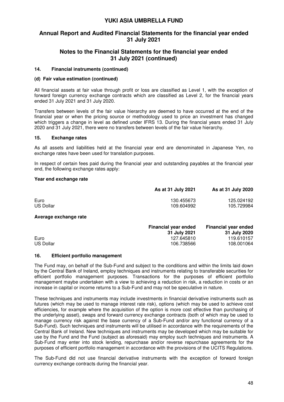# **Annual Report and Audited Financial Statements for the financial year ended 31 July 2021**

## **Notes to the Financial Statements for the financial year ended 31 July 2021 (continued)**

#### **14. Financial instruments (continued)**

#### **(d) Fair value estimation (continued)**

All financial assets at fair value through profit or loss are classified as Level 1, with the exception of forward foreign currency exchange contracts which are classified as Level 2, for the financial years ended 31 July 2021 and 31 July 2020.

Transfers between levels of the fair value hierarchy are deemed to have occurred at the end of the financial year or when the pricing source or methodology used to price an investment has changed which triggers a change in level as defined under IFRS 13. During the financial years ended 31 July 2020 and 31 July 2021, there were no transfers between levels of the fair value hierarchy.

#### **15. Exchange rates**

As all assets and liabilities held at the financial year end are denominated in Japanese Yen, no exchange rates have been used for translation purposes.

In respect of certain fees paid during the financial year and outstanding payables at the financial year end, the following exchange rates apply:

#### **Year end exchange rate**

|                  | As at 31 July 2021 | As at 31 July 2020 |
|------------------|--------------------|--------------------|
| Euro             | 130.455673         | 125.024192         |
| <b>US Dollar</b> | 109.604992         | 105.729984         |
|                  |                    |                    |

#### **Average exchange rate**

|                  | Financial year ended<br>31 July 2021 | <b>Financial year ended</b><br>31 July 2020 |
|------------------|--------------------------------------|---------------------------------------------|
| Euro             | 127.645810                           | 119.610157                                  |
| <b>US Dollar</b> | 106.738566                           | 108.001064                                  |

#### **16. Efficient portfolio management**

The Fund may, on behalf of the Sub-Fund and subject to the conditions and within the limits laid down by the Central Bank of Ireland, employ techniques and instruments relating to transferable securities for efficient portfolio management purposes. Transactions for the purposes of efficient portfolio management maybe undertaken with a view to achieving a reduction in risk, a reduction in costs or an increase in capital or income returns to a Sub-Fund and may not be speculative in nature.

These techniques and instruments may include investments in financial derivative instruments such as futures (which may be used to manage interest rate risk), options (which may be used to achieve cost efficiencies, for example where the acquisition of the option is more cost effective than purchasing of the underlying asset), swaps and forward currency exchange contracts (both of which may be used to manage currency risk against the base currency of a Sub-Fund and/or any functional currency of a Sub-Fund). Such techniques and instruments will be utilised in accordance with the requirements of the Central Bank of Ireland. New techniques and instruments may be developed which may be suitable for use by the Fund and the Fund (subject as aforesaid) may employ such techniques and instruments. A Sub-Fund may enter into stock lending, repurchase and/or reverse repurchase agreements for the purposes of efficient portfolio management in accordance with the provisions of the UCITS Regulations.

The Sub-Fund did not use financial derivative instruments with the exception of forward foreign currency exchange contracts during the financial year.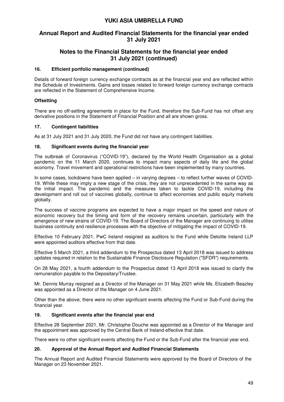# **Annual Report and Audited Financial Statements for the financial year ended 31 July 2021**

# **Notes to the Financial Statements for the financial year ended 31 July 2021 (continued)**

#### **16. Efficient portfolio management (continued)**

Details of forward foreign currency exchange contracts as at the financial year end are reflected within the Schedule of Investments. Gains and losses related to forward foreign currency exchange contracts are reflected in the Statement of Comprehensive Income.

#### **Offsetting**

There are no off-setting agreements in place for the Fund, therefore the Sub-Fund has not offset any derivative positions in the Statement of Financial Position and all are shown gross.

#### **17. Contingent liabilities**

As at 31 July 2021 and 31 July 2020, the Fund did not have any contingent liabilities.

#### **18. Significant events during the financial year**

The outbreak of Coronavirus ("COVID-19"), declared by the World Health Organisation as a global pandemic on the 11 March 2020, continues to impact many aspects of daily life and the global economy. Travel movement and operational restrictions have been implemented by many countries.

In some cases, lockdowns have been applied – in varying degrees – to reflect further waves of COVID-19. While these may imply a new stage of the crisis, they are not unprecedented in the same way as the initial impact. The pandemic and the measures taken to tackle COVID-19, including the development and roll out of vaccines globally, continue to affect economies and public equity markets globally.

The success of vaccine programs are expected to have a major impact on the speed and nature of economic recovery but the timing and form of the recovery remains uncertain, particularly with the emergence of new strains of COVID-19. The Board of Directors of the Manager are continuing to utilise business continuity and resilience processes with the objective of mitigating the impact of COVID-19.

Effective 10 February 2021, PwC Ireland resigned as auditors to the Fund while Deloitte Ireland LLP were appointed auditors effective from that date.

Effective 5 March 2021, a third addendum to the Prospectus dated 13 April 2018 was issued to address updates required in relation to the Sustainable Finance Disclosure Regulation ("SFDR") requirements.

On 28 May 2021, a fourth addendum to the Prospectus dated 13 April 2018 was issued to clarify the remuneration payable to the Depositary/Trustee.

Mr. Dennis Murray resigned as a Director of the Manager on 31 May 2021 while Ms. Elizabeth Beazley was appointed as a Director of the Manager on 4 June 2021.

Other than the above, there were no other significant events affecting the Fund or Sub-Fund during the financial year.

#### **19. Significant events after the financial year end**

Effective 28 September 2021, Mr. Christophe Douche was appointed as a Director of the Manager and the appointment was approved by the Central Bank of Ireland effective that date.

There were no other significant events affecting the Fund or the Sub-Fund after the financial year end.

#### **20. Approval of the Annual Report and Audited Financial Statements**

The Annual Report and Audited Financial Statements were approved by the Board of Directors of the Manager on 23 November 2021.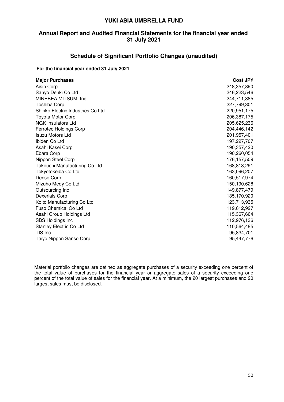# **Annual Report and Audited Financial Statements for the financial year ended 31 July 2021**

# **Schedule of Significant Portfolio Changes (unaudited)**

### **For the financial year ended 31 July 2021**

| <b>Major Purchases</b>            | Cost JP¥      |
|-----------------------------------|---------------|
| Aisin Corp                        | 248,357,890   |
| Sanyo Denki Co Ltd                | 246,223,546   |
| MINEBEA MITSUMI Inc               | 244,711,385   |
| <b>Toshiba Corp</b>               | 227,799,301   |
| Shinko Electric Industries Co Ltd | 220,951,175   |
| <b>Toyota Motor Corp</b>          | 206,387,175   |
| <b>NGK Insulators Ltd</b>         | 205,625,236   |
| <b>Ferrotec Holdings Corp</b>     | 204,446,142   |
| <b>Isuzu Motors Ltd</b>           | 201,957,401   |
| Ibiden Co Ltd                     | 197,227,707   |
| Asahi Kasei Corp                  | 190,357,420   |
| Ebara Corp                        | 190,260,054   |
| Nippon Steel Corp                 | 176, 157, 509 |
| Takeuchi Manufacturing Co Ltd     | 168,813,291   |
| Tokyotokeiba Co Ltd               | 163,096,207   |
| Denso Corp                        | 160,517,974   |
| Mizuho Medy Co Ltd                | 150,190,628   |
| Outsourcing Inc                   | 149,877,479   |
| Dexerials Corp                    | 135,170,920   |
| Koito Manufacturing Co Ltd        | 123,713,935   |
| <b>Fuso Chemical Co Ltd</b>       | 119,612,927   |
| Asahi Group Holdings Ltd          | 115,367,664   |
| <b>SBS Holdings Inc</b>           | 112,976,136   |
| Stanley Electric Co Ltd           | 110,564,485   |
| TIS Inc                           | 95,834,701    |
| Taiyo Nippon Sanso Corp           | 95,447,776    |

Material portfolio changes are defined as aggregate purchases of a security exceeding one percent of the total value of purchases for the financial year or aggregate sales of a security exceeding one percent of the total value of sales for the financial year. At a minimum, the 20 largest purchases and 20 largest sales must be disclosed.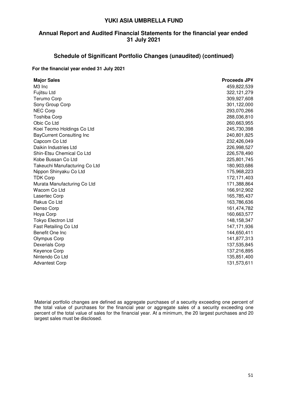# **Annual Report and Audited Financial Statements for the financial year ended 31 July 2021**

# **Schedule of Significant Portfolio Changes (unaudited) (continued)**

## **For the financial year ended 31 July 2021**

| <b>Major Sales</b>               | <b>Proceeds JP¥</b> |
|----------------------------------|---------------------|
| M <sub>3</sub> Inc               | 459,822,539         |
| <b>Fujitsu Ltd</b>               | 322, 121, 279       |
| <b>Terumo Corp</b>               | 309,927,608         |
| Sony Group Corp                  | 301,122,000         |
| <b>NEC Corp</b>                  | 293,070,266         |
| <b>Toshiba Corp</b>              | 288,036,810         |
| Obic Co Ltd                      | 260,663,955         |
| Koei Tecmo Holdings Co Ltd       | 245,730,398         |
| <b>BayCurrent Consulting Inc</b> | 240,801,825         |
| Capcom Co Ltd                    | 232,426,049         |
| Daikin Industries Ltd            | 226,998,527         |
| Shin-Etsu Chemical Co Ltd        | 226,578,490         |
| Kobe Bussan Co Ltd               | 225,801,745         |
| Takeuchi Manufacturing Co Ltd    | 180,903,686         |
| Nippon Shinyaku Co Ltd           | 175,968,223         |
| <b>TDK Corp</b>                  | 172, 171, 403       |
| Murata Manufacturing Co Ltd      | 171,388,864         |
| Wacom Co Ltd                     | 166,912,902         |
| Lasertec Corp                    | 165,785,437         |
| Rakus Co Ltd                     | 163,786,636         |
| Denso Corp                       | 161,474,782         |
| Hoya Corp                        | 160,663,577         |
| <b>Tokyo Electron Ltd</b>        | 148, 158, 347       |
| Fast Retailing Co Ltd            | 147, 171, 936       |
| Benefit One Inc                  | 144,650,411         |
| Olympus Corp                     | 141,877,313         |
| Dexerials Corp                   | 137,535,845         |
| <b>Keyence Corp</b>              | 137,216,895         |
| Nintendo Co Ltd                  | 135,851,400         |
| <b>Advantest Corp</b>            | 131,573,611         |

Material portfolio changes are defined as aggregate purchases of a security exceeding one percent of the total value of purchases for the financial year or aggregate sales of a security exceeding one percent of the total value of sales for the financial year. At a minimum, the 20 largest purchases and 20 largest sales must be disclosed.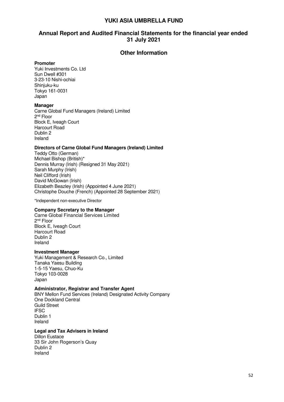# **Annual Report and Audited Financial Statements for the financial year ended 31 July 2021**

## **Other Information**

#### **Promoter**

Yuki Investments Co. Ltd Sun Dwell #301 3-23-10 Nishi-ochiai Shinjuku-ku Tokyo 161-0031 Japan

#### **Manager**

Carne Global Fund Managers (Ireland) Limited 2<sup>nd</sup> Floor Block E, Iveagh Court Harcourt Road Dublin 2 Ireland

## **Directors of Carne Global Fund Managers (Ireland) Limited**

Teddy Otto (German) Michael Bishop (British)\* Dennis Murray (Irish) (Resigned 31 May 2021) Sarah Murphy (Irish) Neil Clifford (Irish) David McGowan (Irish) Elizabeth Beazley (Irish) (Appointed 4 June 2021) Christophe Douche (French) (Appointed 28 September 2021)

\*Independent non-executive Director

#### **Company Secretary to the Manager**

Carne Global Financial Services Limited 2<sup>nd</sup> Floor Block E, Iveagh Court Harcourt Road Dublin 2 Ireland

#### **Investment Manager**

Yuki Management & Research Co., Limited Tanaka Yaesu Building 1-5-15 Yaesu, Chuo-Ku Tokyo 103-0028 Japan

#### **Administrator, Registrar and Transfer Agent**

BNY Mellon Fund Services (Ireland) Designated Activity Company One Dockland Central Guild Street **IFSC** Dublin 1 Ireland

#### **Legal and Tax Advisers in Ireland**

Dillon Eustace 33 Sir John Rogerson's Quay Dublin 2 Ireland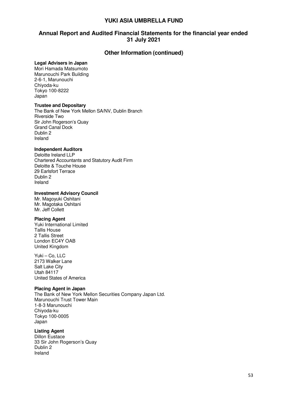## **Annual Report and Audited Financial Statements for the financial year ended 31 July 2021**

## **Other Information (continued)**

#### **Legal Advisers in Japan**

Mori Hamada Matsumoto Marunouchi Park Building 2-6-1, Marunouchi Chiyoda-ku Tokyo 100-8222 Japan

#### **Trustee and Depositary**

The Bank of New York Mellon SA/NV, Dublin Branch Riverside Two Sir John Rogerson's Quay Grand Canal Dock Dublin 2 Ireland

#### **Independent Auditors**

Deloitte Ireland LLP Chartered Accountants and Statutory Audit Firm Deloitte & Touche House 29 Earlsfort Terrace Dublin 2 Ireland

#### **Investment Advisory Council**

Mr. Magoyuki Oshitani Mr. Magotaka Oshitani Mr. Jeff Collett

## **Placing Agent**

Yuki International Limited Tallis House 2 Tallis Street London EC4Y OAB United Kingdom

Yuki – Co, LLC 2173 Walker Lane Salt Lake City Utah 84117 United States of America

#### **Placing Agent in Japan**

The Bank of New York Mellon Securities Company Japan Ltd. Marunouchi Trust Tower Main 1-8-3 Marunouchi Chiyoda-ku Tokyo 100-0005 Japan

#### **Listing Agent**

Dillon Eustace 33 Sir John Rogerson's Quay Dublin 2 Ireland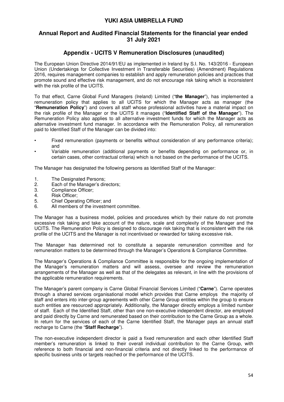## **Annual Report and Audited Financial Statements for the financial year ended 31 July 2021**

# **Appendix - UCITS V Remuneration Disclosures (unaudited)**

The European Union Directive 2014/91/EU as implemented in Ireland by S.I. No. 143/2016 - European Union (Undertakings for Collective Investment in Transferable Securities) (Amendment) Regulations 2016, requires management companies to establish and apply remuneration policies and practices that promote sound and effective risk management, and do not encourage risk taking which is inconsistent with the risk profile of the UCITS.

To that effect, Carne Global Fund Managers (Ireland) Limited ("**the Manager**"), has implemented a remuneration policy that applies to all UCITS for which the Manager acts as manager (the "**Remuneration Policy**") and covers all staff whose professional activities have a material impact on the risk profile of the Manager or the UCITS it manages ("**Identified Staff of the Manager**"). The Remuneration Policy also applies to all alternative investment funds for which the Manager acts as alternative investment fund manager. In accordance with the Remuneration Policy, all remuneration paid to Identified Staff of the Manager can be divided into:

- Fixed remuneration (payments or benefits without consideration of any performance criteria); and
- Variable remuneration (additional payments or benefits depending on performance or, in certain cases, other contractual criteria) which is not based on the performance of the UCITS.

The Manager has designated the following persons as Identified Staff of the Manager:

- 1. The Designated Persons;
- 2. Each of the Manager's directors;<br>3. Compliance Officer:
- Compliance Officer:
- 4. Risk Officer;
- 5. Chief Operating Officer; and<br>6. All members of the investme
- All members of the investment committee.

The Manager has a business model, policies and procedures which by their nature do not promote excessive risk taking and take account of the nature, scale and complexity of the Manager and the UCITS. The Remuneration Policy is designed to discourage risk taking that is inconsistent with the risk profile of the UCITS and the Manager is not incentivised or rewarded for taking excessive risk.

The Manager has determined not to constitute a separate remuneration committee and for remuneration matters to be determined through the Manager's Operations & Compliance Committee.

The Manager's Operations & Compliance Committee is responsible for the ongoing implementation of the Manager's remuneration matters and will assess, oversee and review the remuneration arrangements of the Manager as well as that of the delegates as relevant, in line with the provisions of the applicable remuneration requirements.

The Manager's parent company is Carne Global Financial Services Limited ("**Carne**"). Carne operates through a shared services organisational model which provides that Carne employs the majority of staff and enters into inter-group agreements with other Carne Group entities within the group to ensure such entities are resourced appropriately. Additionally, the Manager directly employs a limited number of staff. Each of the Identified Staff, other than one non-executive independent director, are employed and paid directly by Carne and remunerated based on their contribution to the Carne Group as a whole. In return for the services of each of the Carne Identified Staff, the Manager pays an annual staff recharge to Carne (the "**Staff Recharge**").

The non-executive independent director is paid a fixed remuneration and each other Identified Staff member's remuneration is linked to their overall individual contribution to the Carne Group, with reference to both financial and non-financial criteria and not directly linked to the performance of specific business units or targets reached or the performance of the UCITS.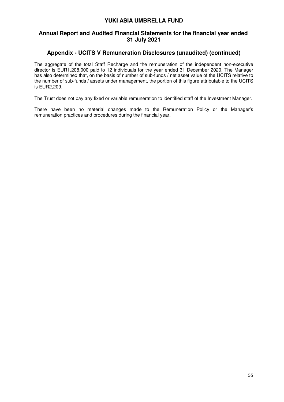## **Annual Report and Audited Financial Statements for the financial year ended 31 July 2021**

# **Appendix - UCITS V Remuneration Disclosures (unaudited) (continued)**

The aggregate of the total Staff Recharge and the remuneration of the independent non-executive director is EUR1,208,000 paid to 12 individuals for the year ended 31 December 2020. The Manager has also determined that, on the basis of number of sub-funds / net asset value of the UCITS relative to the number of sub-funds / assets under management, the portion of this figure attributable to the UCITS is EUR2,209.

The Trust does not pay any fixed or variable remuneration to identified staff of the Investment Manager.

There have been no material changes made to the Remuneration Policy or the Manager's remuneration practices and procedures during the financial year.